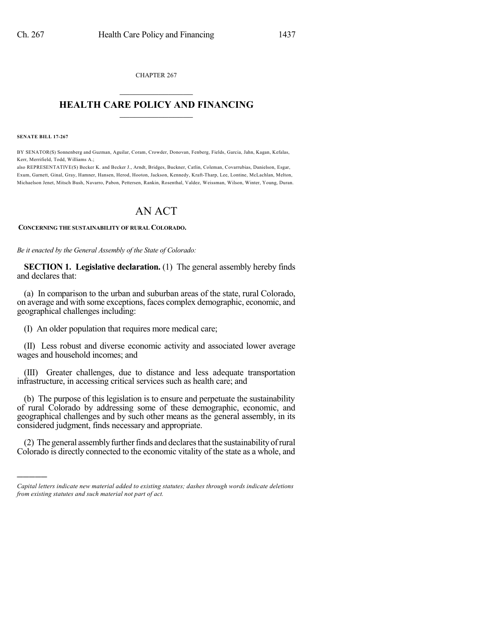CHAPTER 267  $\overline{\phantom{a}}$  . The set of the set of the set of the set of the set of the set of the set of the set of the set of the set of the set of the set of the set of the set of the set of the set of the set of the set of the set o

#### **HEALTH CARE POLICY AND FINANCING**  $\_$   $\_$   $\_$   $\_$   $\_$   $\_$   $\_$   $\_$

**SENATE BILL 17-267**

)))))

BY SENATOR(S) Sonnenberg and Guzman, Aguilar, Coram, Crowder, Donovan, Fenberg, Fields, Garcia, Jahn, Kagan, Kefalas, Kerr, Merrifield, Todd, Williams A.;

also REPRESENTATIVE(S) Becker K. and Becker J., Arndt, Bridges, Buckner, Catlin, Coleman, Covarrubias, Danielson, Esgar, Exum, Garnett, Ginal, Gray, Hamner, Hansen, Herod, Hooton, Jackson, Kennedy, Kraft-Tharp, Lee, Lontine, McLachlan, Melton, Michaelson Jenet, Mitsch Bush, Navarro, Pabon, Pettersen, Rankin, Rosenthal, Valdez, Weissman, Wilson, Winter, Young, Duran.

# AN ACT

**CONCERNING THE SUSTAINABILITY OF RURAL COLORADO.**

*Be it enacted by the General Assembly of the State of Colorado:*

**SECTION 1. Legislative declaration.** (1) The general assembly hereby finds and declares that:

(a) In comparison to the urban and suburban areas of the state, rural Colorado, on average and with some exceptions, faces complex demographic, economic, and geographical challenges including:

(I) An older population that requires more medical care;

(II) Less robust and diverse economic activity and associated lower average wages and household incomes; and

(III) Greater challenges, due to distance and less adequate transportation infrastructure, in accessing critical services such as health care; and

(b) The purpose of this legislation is to ensure and perpetuate the sustainability of rural Colorado by addressing some of these demographic, economic, and geographical challenges and by such other means as the general assembly, in its considered judgment, finds necessary and appropriate.

(2) The general assembly further finds and declares that the sustainability of rural Colorado is directly connected to the economic vitality of the state as a whole, and

*Capital letters indicate new material added to existing statutes; dashes through words indicate deletions from existing statutes and such material not part of act.*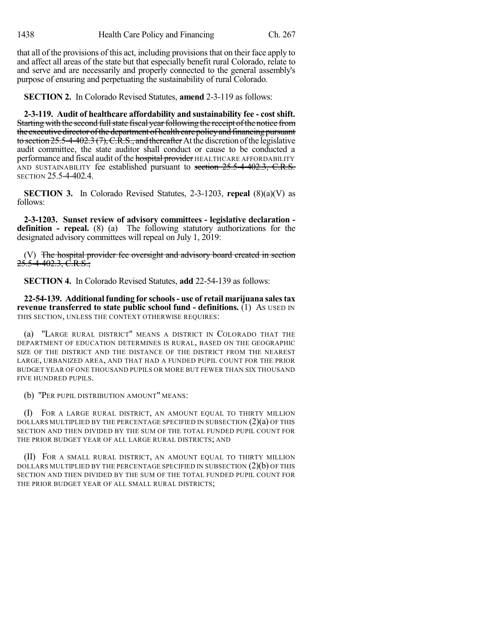that all of the provisions of this act, including provisions that on their face apply to and affect all areas of the state but that especially benefit rural Colorado, relate to and serve and are necessarily and properly connected to the general assembly's purpose of ensuring and perpetuating the sustainability of rural Colorado.

**SECTION 2.** In Colorado Revised Statutes, **amend** 2-3-119 as follows:

**2-3-119. Audit of healthcare affordability and sustainability fee - cost shift.** Starting with the second full state fiscal year following the receipt of the notice from the executive director of the department of health care policy and financing pursuant to section  $25.5$ -4-402.3 (7), C.R.S., and thereafter At the discretion of the legislative audit committee, the state auditor shall conduct or cause to be conducted a performance and fiscal audit of the **hospital provider** HEALTHCARE AFFORDABILITY AND SUSTAINABILITY fee established pursuant to section 25.5-4-402.3, C.R.S. SECTION 25.5-4-402.4.

**SECTION 3.** In Colorado Revised Statutes, 2-3-1203, **repeal** (8)(a)(V) as follows:

**2-3-1203. Sunset review of advisory committees - legislative declaration definition - repeal.** (8) (a) The following statutory authorizations for the designated advisory committees will repeal on July 1, 2019:

(V) The hospital provider fee oversight and advisory board created in section 25.5-4-402.3, C.R.S.;

**SECTION 4.** In Colorado Revised Statutes, **add** 22-54-139 as follows:

**22-54-139. Additional funding for schools- use of retail marijuana salestax revenue transferred to state public school fund - definitions.** (1) AS USED IN THIS SECTION, UNLESS THE CONTEXT OTHERWISE REQUIRES:

(a) "LARGE RURAL DISTRICT" MEANS A DISTRICT IN COLORADO THAT THE DEPARTMENT OF EDUCATION DETERMINES IS RURAL, BASED ON THE GEOGRAPHIC SIZE OF THE DISTRICT AND THE DISTANCE OF THE DISTRICT FROM THE NEAREST LARGE, URBANIZED AREA, AND THAT HAD A FUNDED PUPIL COUNT FOR THE PRIOR BUDGET YEAR OF ONE THOUSAND PUPILS OR MORE BUT FEWER THAN SIX THOUSAND FIVE HUNDRED PUPILS.

(b) "PER PUPIL DISTRIBUTION AMOUNT" MEANS:

(I) FOR A LARGE RURAL DISTRICT, AN AMOUNT EQUAL TO THIRTY MILLION DOLLARS MULTIPLIED BY THE PERCENTAGE SPECIFIED IN SUBSECTION  $(2)(a)$  OF THIS SECTION AND THEN DIVIDED BY THE SUM OF THE TOTAL FUNDED PUPIL COUNT FOR THE PRIOR BUDGET YEAR OF ALL LARGE RURAL DISTRICTS; AND

(II) FOR A SMALL RURAL DISTRICT, AN AMOUNT EQUAL TO THIRTY MILLION DOLLARS MULTIPLIED BY THE PERCENTAGE SPECIFIED IN SUBSECTION (2)(b) OF THIS SECTION AND THEN DIVIDED BY THE SUM OF THE TOTAL FUNDED PUPIL COUNT FOR THE PRIOR BUDGET YEAR OF ALL SMALL RURAL DISTRICTS;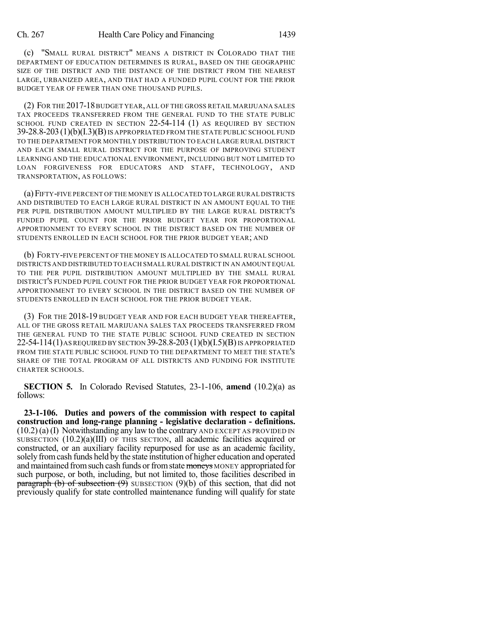(c) "SMALL RURAL DISTRICT" MEANS A DISTRICT IN COLORADO THAT THE DEPARTMENT OF EDUCATION DETERMINES IS RURAL, BASED ON THE GEOGRAPHIC SIZE OF THE DISTRICT AND THE DISTANCE OF THE DISTRICT FROM THE NEAREST LARGE, URBANIZED AREA, AND THAT HAD A FUNDED PUPIL COUNT FOR THE PRIOR BUDGET YEAR OF FEWER THAN ONE THOUSAND PUPILS.

(2) FOR THE 2017-18BUDGET YEAR, ALL OF THE GROSS RETAIL MARIJUANA SALES TAX PROCEEDS TRANSFERRED FROM THE GENERAL FUND TO THE STATE PUBLIC SCHOOL FUND CREATED IN SECTION 22-54-114 (1) AS REQUIRED BY SECTION 39-28.8-203 (1)(b)(I.3)(B)IS APPROPRIATED FROM THE STATE PUBLIC SCHOOL FUND TO THE DEPARTMENT FOR MONTHLY DISTRIBUTION TO EACH LARGE RURAL DISTRICT AND EACH SMALL RURAL DISTRICT FOR THE PURPOSE OF IMPROVING STUDENT LEARNING AND THE EDUCATIONAL ENVIRONMENT, INCLUDING BUT NOT LIMITED TO LOAN FORGIVENESS FOR EDUCATORS AND STAFF, TECHNOLOGY, AND TRANSPORTATION, AS FOLLOWS:

(a)FIFTY-FIVE PERCENT OF THE MONEY IS ALLOCATED TO LARGE RURAL DISTRICTS AND DISTRIBUTED TO EACH LARGE RURAL DISTRICT IN AN AMOUNT EQUAL TO THE PER PUPIL DISTRIBUTION AMOUNT MULTIPLIED BY THE LARGE RURAL DISTRICT'S FUNDED PUPIL COUNT FOR THE PRIOR BUDGET YEAR FOR PROPORTIONAL APPORTIONMENT TO EVERY SCHOOL IN THE DISTRICT BASED ON THE NUMBER OF STUDENTS ENROLLED IN EACH SCHOOL FOR THE PRIOR BUDGET YEAR; AND

(b) FORTY-FIVE PERCENT OF THE MONEY IS ALLOCATED TO SMALL RURAL SCHOOL DISTRICTS AND DISTRIBUTED TO EACH SMALL RURAL DISTRICT IN AN AMOUNT EQUAL TO THE PER PUPIL DISTRIBUTION AMOUNT MULTIPLIED BY THE SMALL RURAL DISTRICT'S FUNDED PUPIL COUNT FOR THE PRIOR BUDGET YEAR FOR PROPORTIONAL APPORTIONMENT TO EVERY SCHOOL IN THE DISTRICT BASED ON THE NUMBER OF STUDENTS ENROLLED IN EACH SCHOOL FOR THE PRIOR BUDGET YEAR.

(3) FOR THE 2018-19 BUDGET YEAR AND FOR EACH BUDGET YEAR THEREAFTER, ALL OF THE GROSS RETAIL MARIJUANA SALES TAX PROCEEDS TRANSFERRED FROM THE GENERAL FUND TO THE STATE PUBLIC SCHOOL FUND CREATED IN SECTION 22-54-114(1) AS REQUIRED BY SECTION 39-28.8-203 (1)(b)(I.5)(B) IS APPROPRIATED FROM THE STATE PUBLIC SCHOOL FUND TO THE DEPARTMENT TO MEET THE STATE'S SHARE OF THE TOTAL PROGRAM OF ALL DISTRICTS AND FUNDING FOR INSTITUTE CHARTER SCHOOLS.

**SECTION 5.** In Colorado Revised Statutes, 23-1-106, **amend** (10.2)(a) as follows:

**23-1-106. Duties and powers of the commission with respect to capital construction and long-range planning - legislative declaration - definitions.**  $(10.2)(a)$  (I) Notwithstanding any law to the contrary AND EXCEPT AS PROVIDED IN SUBSECTION  $(10.2)(a)(III)$  OF THIS SECTION, all academic facilities acquired or constructed, or an auxiliary facility repurposed for use as an academic facility, solely from cash funds held by the state institution of higher education and operated and maintained from such cash funds or from state moneys MONEY appropriated for such purpose, or both, including, but not limited to, those facilities described in paragraph (b) of subsection  $(9)$  SUBSECTION  $(9)(b)$  of this section, that did not previously qualify for state controlled maintenance funding will qualify for state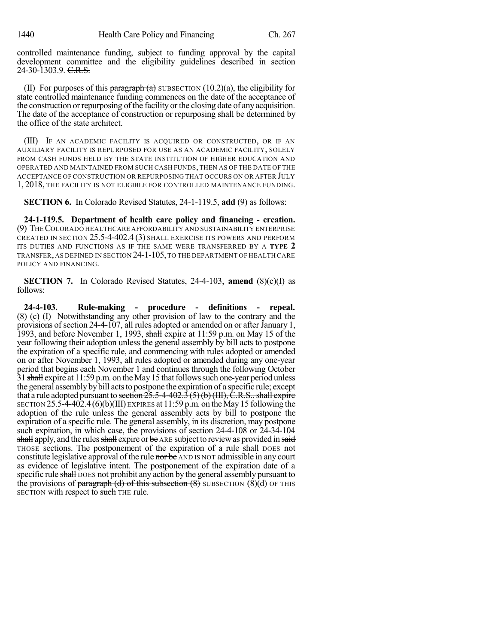controlled maintenance funding, subject to funding approval by the capital development committee and the eligibility guidelines described in section 24-30-1303.9. C.R.S.

(II) For purposes of this paragraph  $(a)$  SUBSECTION (10.2)(a), the eligibility for state controlled maintenance funding commences on the date of the acceptance of the construction or repurposing of the facility or the closing date of any acquisition. The date of the acceptance of construction or repurposing shall be determined by the office of the state architect.

(III) IF AN ACADEMIC FACILITY IS ACQUIRED OR CONSTRUCTED, OR IF AN AUXILIARY FACILITY IS REPURPOSED FOR USE AS AN ACADEMIC FACILITY, SOLELY FROM CASH FUNDS HELD BY THE STATE INSTITUTION OF HIGHER EDUCATION AND OPERATED AND MAINTAINED FROM SUCH CASH FUNDS, THEN AS OF THE DATE OF THE ACCEPTANCE OF CONSTRUCTION OR REPURPOSING THAT OCCURS ON OR AFTER JULY 1, 2018, THE FACILITY IS NOT ELIGIBLE FOR CONTROLLED MAINTENANCE FUNDING.

**SECTION 6.** In Colorado Revised Statutes, 24-1-119.5, **add** (9) as follows:

**24-1-119.5. Department of health care policy and financing - creation.** (9) THECOLORADO HEALTHCARE AFFORDABILITY AND SUSTAINABILITY ENTERPRISE CREATED IN SECTION 25.5-4-402.4 (3) SHALL EXERCISE ITS POWERS AND PERFORM ITS DUTIES AND FUNCTIONS AS IF THE SAME WERE TRANSFERRED BY A **TYPE 2** TRANSFER, AS DEFINED IN SECTION 24-1-105,TO THE DEPARTMENT OF HEALTH CARE POLICY AND FINANCING.

**SECTION 7.** In Colorado Revised Statutes, 24-4-103, **amend** (8)(c)(I) as follows:

**24-4-103. Rule-making - procedure - definitions - repeal.** (8) (c) (I) Notwithstanding any other provision of law to the contrary and the provisions of section 24-4-107, all rules adopted or amended on or after January 1, 1993, and before November 1, 1993, shall expire at 11:59 p.m. on May 15 of the year following their adoption unless the general assembly by bill acts to postpone the expiration of a specific rule, and commencing with rules adopted or amended on or after November 1, 1993, all rules adopted or amended during any one-year period that begins each November 1 and continues through the following October 31 shall expire at 11:59 p.m. on the May 15 that follows such one-year period unless the general assembly by bill acts to postpone the expiration of a specific rule; except that a rule adopted pursuant to section  $25.5-4-402.3(5)(b)(III)$ , C.R.S., shall expire SECTION  $25.5-4-402.4$  (6)(b)(III) EXPIRES at 11:59 p.m. on the May 15 following the adoption of the rule unless the general assembly acts by bill to postpone the expiration of a specific rule. The general assembly, in its discretion, may postpone such expiration, in which case, the provisions of section 24-4-108 or 24-34-104 shall apply, and the rules shall expire or be ARE subject to review as provided in said THOSE sections. The postponement of the expiration of a rule shall DOES not constitute legislative approval of the rule nor be AND IS NOT admissible in any court as evidence of legislative intent. The postponement of the expiration date of a specific rule shall DOES not prohibit any action by the general assembly pursuant to the provisions of paragraph (d) of this subsection  $(8)$  SUBSECTION  $(8)(d)$  OF THIS SECTION with respect to such THE rule.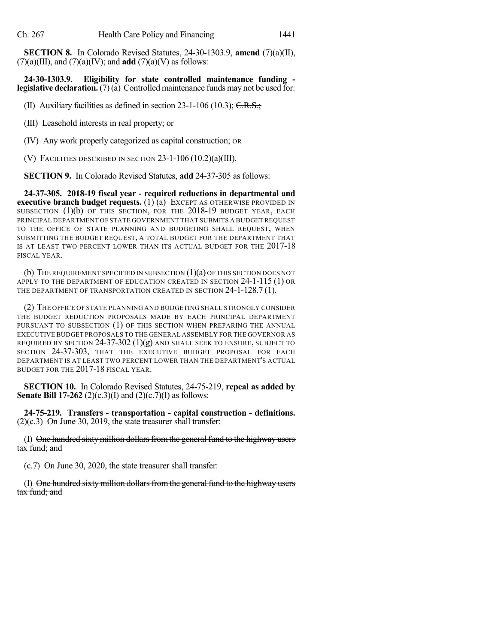**SECTION 8.** In Colorado Revised Statutes, 24-30-1303.9, **amend** (7)(a)(II),  $(7)(a)(III)$ , and  $(7)(a)(IV)$ ; and **add**  $(7)(a)(V)$  as follows:

**24-30-1303.9. Eligibility for state controlled maintenance funding legislative declaration.**(7)(a) Controlled maintenance funds may not be used for:

(II) Auxiliary facilities as defined in section  $23-1-106$  (10.3); C.R.S.;

(III) Leasehold interests in real property; or

(IV) Any work properly categorized as capital construction; OR

(V) FACILITIES DESCRIBED IN SECTION 23-1-106 (10.2)(a)(III).

**SECTION 9.** In Colorado Revised Statutes, **add** 24-37-305 as follows:

**24-37-305. 2018-19 fiscal year - required reductions in departmental and executive branch budget requests.** (1) (a) EXCEPT AS OTHERWISE PROVIDED IN SUBSECTION (1)(b) OF THIS SECTION, FOR THE 2018-19 BUDGET YEAR, EACH PRINCIPAL DEPARTMENT OF STATE GOVERNMENT THAT SUBMITS A BUDGET REQUEST TO THE OFFICE OF STATE PLANNING AND BUDGETING SHALL REQUEST, WHEN SUBMITTING THE BUDGET REQUEST, A TOTAL BUDGET FOR THE DEPARTMENT THAT IS AT LEAST TWO PERCENT LOWER THAN ITS ACTUAL BUDGET FOR THE 2017-18 FISCAL YEAR.

(b) THE REQUIREMENT SPECIFIED IN SUBSECTION (1)(a) OF THIS SECTION DOES NOT APPLY TO THE DEPARTMENT OF EDUCATION CREATED IN SECTION 24-1-115 (1) OR THE DEPARTMENT OF TRANSPORTATION CREATED IN SECTION 24-1-128.7(1).

(2) THE OFFICE OF STATE PLANNING AND BUDGETING SHALL STRONGLY CONSIDER THE BUDGET REDUCTION PROPOSALS MADE BY EACH PRINCIPAL DEPARTMENT PURSUANT TO SUBSECTION (1) OF THIS SECTION WHEN PREPARING THE ANNUAL EXECUTIVE BUDGET PROPOSALS TO THE GENERAL ASSEMBLY FOR THE GOVERNOR AS REQUIRED BY SECTION  $24-37-302$  (1)(g) and shall seek to ensure, subject to SECTION 24-37-303, THAT THE EXECUTIVE BUDGET PROPOSAL FOR EACH DEPARTMENT IS AT LEAST TWO PERCENT LOWER THAN THE DEPARTMENT'S ACTUAL BUDGET FOR THE 2017-18 FISCAL YEAR.

**SECTION 10.** In Colorado Revised Statutes, 24-75-219, **repeal as added by Senate Bill 17-262** (2)(c.3)(I) and (2)(c.7)(I) as follows:

**24-75-219. Transfers - transportation - capital construction - definitions.** (2)(c.3) On June 30, 2019, the state treasurer shall transfer:

(I) One hundred sixty million dollars from the general fund to the highway users tax fund; and

(c.7) On June 30, 2020, the state treasurer shall transfer:

(I) One hundred sixty million dollars from the general fund to the highway users tax fund; and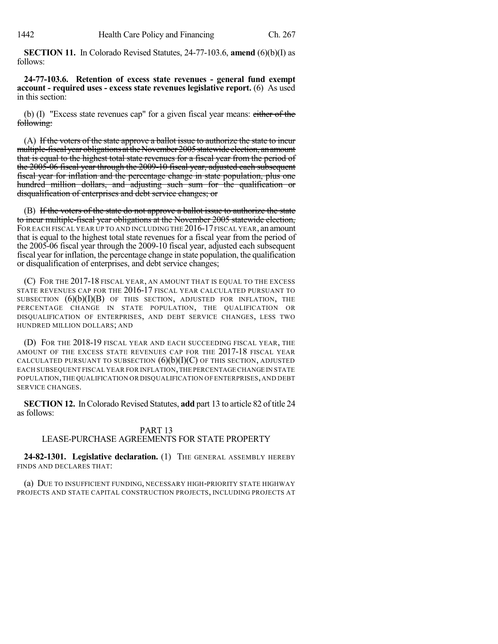**SECTION 11.** In Colorado Revised Statutes, 24-77-103.6, **amend** (6)(b)(I) as follows:

**24-77-103.6. Retention of excess state revenues - general fund exempt account - required uses - excess state revenues legislative report.** (6) As used in this section:

(b) (I) "Excess state revenues cap" for a given fiscal year means:  $\frac{\text{either of the}}{\text{if the}}}$ following:

(A) If the voters of the state approve a ballot issue to authorize the state to incur multiple-fiscal year obligations at the November 2005 statewide election, an amount that is equal to the highest total state revenues for a fiscal year from the period of the 2005-06 fiscal year through the 2009-10 fiscal year, adjusted each subsequent fiscal year for inflation and the percentage change in state population, plus one hundred million dollars, and adjusting such sum for the qualification or disqualification of enterprises and debt service changes; or

(B) If the voters of the state do not approve a ballot issue to authorize the state to incur multiple-fiscal year obligations at the November 2005 statewide election, FOR EACH FISCAL YEAR UP TO AND INCLUDING THE 2016-17 FISCAL YEAR, an amount that is equal to the highest total state revenues for a fiscal year from the period of the 2005-06 fiscal year through the 2009-10 fiscal year, adjusted each subsequent fiscal year for inflation, the percentage change in state population, the qualification or disqualification of enterprises, and debt service changes;

(C) FOR THE 2017-18 FISCAL YEAR, AN AMOUNT THAT IS EQUAL TO THE EXCESS STATE REVENUES CAP FOR THE 2016-17 FISCAL YEAR CALCULATED PURSUANT TO SUBSECTION  $(6)(b)(I)(B)$  of this section, adjusted for inflation, the PERCENTAGE CHANGE IN STATE POPULATION, THE QUALIFICATION OR DISQUALIFICATION OF ENTERPRISES, AND DEBT SERVICE CHANGES, LESS TWO HUNDRED MILLION DOLLARS; AND

(D) FOR THE 2018-19 FISCAL YEAR AND EACH SUCCEEDING FISCAL YEAR, THE AMOUNT OF THE EXCESS STATE REVENUES CAP FOR THE 2017-18 FISCAL YEAR CALCULATED PURSUANT TO SUBSECTION  $(6)(b)(I)(C)$  OF THIS SECTION, ADJUSTED EACH SUBSEQUENT FISCAL YEAR FOR INFLATION,THE PERCENTAGE CHANGE IN STATE POPULATION,THE QUALIFICATION OR DISQUALIFICATION OF ENTERPRISES,AND DEBT SERVICE CHANGES.

**SECTION 12.** InColorado Revised Statutes, **add** part 13 to article 82 of title 24 as follows:

### PART 13

## LEASE-PURCHASE AGREEMENTS FOR STATE PROPERTY

**24-82-1301. Legislative declaration.** (1) THE GENERAL ASSEMBLY HEREBY FINDS AND DECLARES THAT:

(a) DUE TO INSUFFICIENT FUNDING, NECESSARY HIGH-PRIORITY STATE HIGHWAY PROJECTS AND STATE CAPITAL CONSTRUCTION PROJECTS, INCLUDING PROJECTS AT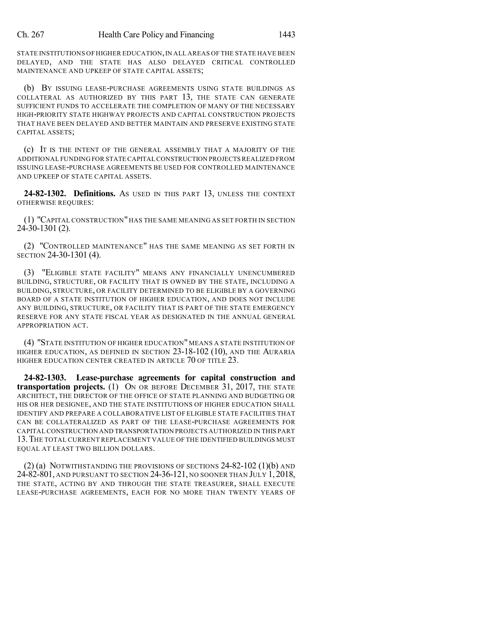STATE INSTITUTIONS OF HIGHER EDUCATION,IN ALL AREAS OF THE STATE HAVE BEEN DELAYED, AND THE STATE HAS ALSO DELAYED CRITICAL CONTROLLED MAINTENANCE AND UPKEEP OF STATE CAPITAL ASSETS;

(b) BY ISSUING LEASE-PURCHASE AGREEMENTS USING STATE BUILDINGS AS COLLATERAL AS AUTHORIZED BY THIS PART 13, THE STATE CAN GENERATE SUFFICIENT FUNDS TO ACCELERATE THE COMPLETION OF MANY OF THE NECESSARY HIGH-PRIORITY STATE HIGHWAY PROJECTS AND CAPITAL CONSTRUCTION PROJECTS THAT HAVE BEEN DELAYED AND BETTER MAINTAIN AND PRESERVE EXISTING STATE CAPITAL ASSETS;

(c) IT IS THE INTENT OF THE GENERAL ASSEMBLY THAT A MAJORITY OF THE ADDITIONAL FUNDING FOR STATE CAPITAL CONSTRUCTION PROJECTSREALIZED FROM ISSUING LEASE-PURCHASE AGREEMENTS BE USED FOR CONTROLLED MAINTENANCE AND UPKEEP OF STATE CAPITAL ASSETS.

**24-82-1302. Definitions.** AS USED IN THIS PART 13, UNLESS THE CONTEXT OTHERWISE REQUIRES:

(1) "CAPITAL CONSTRUCTION" HAS THE SAME MEANING AS SET FORTH IN SECTION 24-30-1301 (2).

(2) "CONTROLLED MAINTENANCE" HAS THE SAME MEANING AS SET FORTH IN SECTION 24-30-1301 (4).

(3) "ELIGIBLE STATE FACILITY" MEANS ANY FINANCIALLY UNENCUMBERED BUILDING, STRUCTURE, OR FACILITY THAT IS OWNED BY THE STATE, INCLUDING A BUILDING, STRUCTURE, OR FACILITY DETERMINED TO BE ELIGIBLE BY A GOVERNING BOARD OF A STATE INSTITUTION OF HIGHER EDUCATION, AND DOES NOT INCLUDE ANY BUILDING, STRUCTURE, OR FACILITY THAT IS PART OF THE STATE EMERGENCY RESERVE FOR ANY STATE FISCAL YEAR AS DESIGNATED IN THE ANNUAL GENERAL APPROPRIATION ACT.

(4) "STATE INSTITUTION OF HIGHER EDUCATION" MEANS A STATE INSTITUTION OF HIGHER EDUCATION, AS DEFINED IN SECTION 23-18-102 (10), AND THE AURARIA HIGHER EDUCATION CENTER CREATED IN ARTICLE 70 OF TITLE 23.

**24-82-1303. Lease-purchase agreements for capital construction and transportation projects.** (1) ON OR BEFORE DECEMBER 31, 2017, THE STATE ARCHITECT, THE DIRECTOR OF THE OFFICE OF STATE PLANNING AND BUDGETING OR HIS OR HER DESIGNEE, AND THE STATE INSTITUTIONS OF HIGHER EDUCATION SHALL IDENTIFY AND PREPARE A COLLABORATIVE LIST OF ELIGIBLE STATE FACILITIES THAT CAN BE COLLATERALIZED AS PART OF THE LEASE-PURCHASE AGREEMENTS FOR CAPITAL CONSTRUCTION AND TRANSPORTATION PROJECTS AUTHORIZED IN THIS PART 13.THE TOTAL CURRENT REPLACEMENT VALUE OF THE IDENTIFIED BUILDINGS MUST EQUAL AT LEAST TWO BILLION DOLLARS.

 $(2)$  (a) NOTWITHSTANDING THE PROVISIONS OF SECTIONS  $24-82-102$  (1)(b) and 24-82-801, AND PURSUANT TO SECTION 24-36-121, NO SOONER THAN JULY 1, 2018, THE STATE, ACTING BY AND THROUGH THE STATE TREASURER, SHALL EXECUTE LEASE-PURCHASE AGREEMENTS, EACH FOR NO MORE THAN TWENTY YEARS OF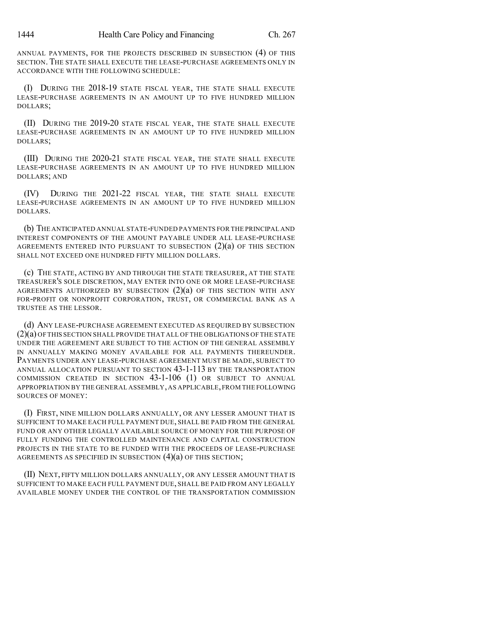ANNUAL PAYMENTS, FOR THE PROJECTS DESCRIBED IN SUBSECTION (4) OF THIS SECTION. THE STATE SHALL EXECUTE THE LEASE-PURCHASE AGREEMENTS ONLY IN ACCORDANCE WITH THE FOLLOWING SCHEDULE:

(I) DURING THE 2018-19 STATE FISCAL YEAR, THE STATE SHALL EXECUTE LEASE-PURCHASE AGREEMENTS IN AN AMOUNT UP TO FIVE HUNDRED MILLION DOLLARS;

(II) DURING THE 2019-20 STATE FISCAL YEAR, THE STATE SHALL EXECUTE LEASE-PURCHASE AGREEMENTS IN AN AMOUNT UP TO FIVE HUNDRED MILLION DOLLARS;

(III) DURING THE 2020-21 STATE FISCAL YEAR, THE STATE SHALL EXECUTE LEASE-PURCHASE AGREEMENTS IN AN AMOUNT UP TO FIVE HUNDRED MILLION DOLLARS; AND

(IV) DURING THE 2021-22 FISCAL YEAR, THE STATE SHALL EXECUTE LEASE-PURCHASE AGREEMENTS IN AN AMOUNT UP TO FIVE HUNDRED MILLION DOLLARS.

(b) THE ANTICIPATED ANNUAL STATE-FUNDED PAYMENTS FOR THE PRINCIPAL AND INTEREST COMPONENTS OF THE AMOUNT PAYABLE UNDER ALL LEASE-PURCHASE AGREEMENTS ENTERED INTO PURSUANT TO SUBSECTION  $(2)(a)$  OF THIS SECTION SHALL NOT EXCEED ONE HUNDRED FIFTY MILLION DOLLARS.

(c) THE STATE, ACTING BY AND THROUGH THE STATE TREASURER, AT THE STATE TREASURER'S SOLE DISCRETION, MAY ENTER INTO ONE OR MORE LEASE-PURCHASE AGREEMENTS AUTHORIZED BY SUBSECTION  $(2)(a)$  of this section with any FOR-PROFIT OR NONPROFIT CORPORATION, TRUST, OR COMMERCIAL BANK AS A TRUSTEE AS THE LESSOR.

(d) ANY LEASE-PURCHASE AGREEMENT EXECUTED AS REQUIRED BY SUBSECTION (2)(a) OF THIS SECTION SHALL PROVIDE THAT ALL OF THE OBLIGATIONS OF THE STATE UNDER THE AGREEMENT ARE SUBJECT TO THE ACTION OF THE GENERAL ASSEMBLY IN ANNUALLY MAKING MONEY AVAILABLE FOR ALL PAYMENTS THEREUNDER. PAYMENTS UNDER ANY LEASE-PURCHASE AGREEMENT MUST BE MADE, SUBJECT TO ANNUAL ALLOCATION PURSUANT TO SECTION 43-1-113 BY THE TRANSPORTATION COMMISSION CREATED IN SECTION 43-1-106 (1) OR SUBJECT TO ANNUAL APPROPRIATION BY THE GENERAL ASSEMBLY,AS APPLICABLE,FROM THE FOLLOWING SOURCES OF MONEY:

(I) FIRST, NINE MILLION DOLLARS ANNUALLY, OR ANY LESSER AMOUNT THAT IS SUFFICIENT TO MAKE EACH FULL PAYMENT DUE, SHALL BE PAID FROM THE GENERAL FUND OR ANY OTHER LEGALLY AVAILABLE SOURCE OF MONEY FOR THE PURPOSE OF FULLY FUNDING THE CONTROLLED MAINTENANCE AND CAPITAL CONSTRUCTION PROJECTS IN THE STATE TO BE FUNDED WITH THE PROCEEDS OF LEASE-PURCHASE AGREEMENTS AS SPECIFIED IN SUBSECTION  $(4)(a)$  OF THIS SECTION;

(II) NEXT, FIFTY MILLION DOLLARS ANNUALLY, OR ANY LESSER AMOUNT THAT IS SUFFICIENT TO MAKE EACH FULL PAYMENT DUE, SHALL BE PAID FROM ANY LEGALLY AVAILABLE MONEY UNDER THE CONTROL OF THE TRANSPORTATION COMMISSION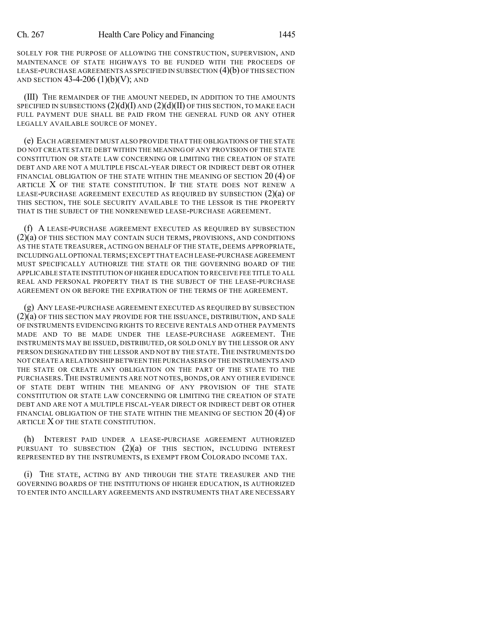SOLELY FOR THE PURPOSE OF ALLOWING THE CONSTRUCTION, SUPERVISION, AND MAINTENANCE OF STATE HIGHWAYS TO BE FUNDED WITH THE PROCEEDS OF LEASE-PURCHASE AGREEMENTS AS SPECIFIED IN SUBSECTION  $(4)(b)$  OF THIS SECTION AND SECTION  $43-4-206$  (1)(b)(V); AND

(III) THE REMAINDER OF THE AMOUNT NEEDED, IN ADDITION TO THE AMOUNTS SPECIFIED IN SUBSECTIONS  $(2)(d)(I)$  and  $(2)(d)(II)$  of this section, to make each FULL PAYMENT DUE SHALL BE PAID FROM THE GENERAL FUND OR ANY OTHER LEGALLY AVAILABLE SOURCE OF MONEY.

(e) EACH AGREEMENT MUST ALSO PROVIDE THAT THE OBLIGATIONS OF THE STATE DO NOT CREATE STATE DEBT WITHIN THE MEANING OF ANY PROVISION OF THE STATE CONSTITUTION OR STATE LAW CONCERNING OR LIMITING THE CREATION OF STATE DEBT AND ARE NOT A MULTIPLE FISCAL-YEAR DIRECT OR INDIRECT DEBT OR OTHER FINANCIAL OBLIGATION OF THE STATE WITHIN THE MEANING OF SECTION 20 (4) OF ARTICLE X OF THE STATE CONSTITUTION. IF THE STATE DOES NOT RENEW A LEASE-PURCHASE AGREEMENT EXECUTED AS REQUIRED BY SUBSECTION (2)(a) OF THIS SECTION, THE SOLE SECURITY AVAILABLE TO THE LESSOR IS THE PROPERTY THAT IS THE SUBJECT OF THE NONRENEWED LEASE-PURCHASE AGREEMENT.

(f) A LEASE-PURCHASE AGREEMENT EXECUTED AS REQUIRED BY SUBSECTION (2)(a) OF THIS SECTION MAY CONTAIN SUCH TERMS, PROVISIONS, AND CONDITIONS AS THE STATE TREASURER, ACTING ON BEHALF OF THE STATE, DEEMS APPROPRIATE, INCLUDINGALL OPTIONAL TERMS;EXCEPT THAT EACH LEASE-PURCHASE AGREEMENT MUST SPECIFICALLY AUTHORIZE THE STATE OR THE GOVERNING BOARD OF THE APPLICABLE STATE INSTITUTION OF HIGHER EDUCATION TO RECEIVE FEE TITLE TO ALL REAL AND PERSONAL PROPERTY THAT IS THE SUBJECT OF THE LEASE-PURCHASE AGREEMENT ON OR BEFORE THE EXPIRATION OF THE TERMS OF THE AGREEMENT.

(g) ANY LEASE-PURCHASE AGREEMENT EXECUTED AS REQUIRED BY SUBSECTION  $(2)(a)$  OF THIS SECTION MAY PROVIDE FOR THE ISSUANCE, DISTRIBUTION, AND SALE OF INSTRUMENTS EVIDENCING RIGHTS TO RECEIVE RENTALS AND OTHER PAYMENTS MADE AND TO BE MADE UNDER THE LEASE-PURCHASE AGREEMENT. THE INSTRUMENTS MAY BE ISSUED, DISTRIBUTED, OR SOLD ONLY BY THE LESSOR OR ANY PERSON DESIGNATED BY THE LESSOR AND NOT BY THE STATE. THE INSTRUMENTS DO NOT CREATE A RELATIONSHIP BETWEEN THE PURCHASERS OF THE INSTRUMENTS AND THE STATE OR CREATE ANY OBLIGATION ON THE PART OF THE STATE TO THE PURCHASERS.THE INSTRUMENTS ARE NOT NOTES,BONDS, OR ANY OTHER EVIDENCE OF STATE DEBT WITHIN THE MEANING OF ANY PROVISION OF THE STATE CONSTITUTION OR STATE LAW CONCERNING OR LIMITING THE CREATION OF STATE DEBT AND ARE NOT A MULTIPLE FISCAL-YEAR DIRECT OR INDIRECT DEBT OR OTHER FINANCIAL OBLIGATION OF THE STATE WITHIN THE MEANING OF SECTION 20 (4) OF ARTICLE X OF THE STATE CONSTITUTION.

(h) INTEREST PAID UNDER A LEASE-PURCHASE AGREEMENT AUTHORIZED PURSUANT TO SUBSECTION  $(2)(a)$  of this section, including interest REPRESENTED BY THE INSTRUMENTS, IS EXEMPT FROM COLORADO INCOME TAX.

(i) THE STATE, ACTING BY AND THROUGH THE STATE TREASURER AND THE GOVERNING BOARDS OF THE INSTITUTIONS OF HIGHER EDUCATION, IS AUTHORIZED TO ENTER INTO ANCILLARY AGREEMENTS AND INSTRUMENTS THAT ARE NECESSARY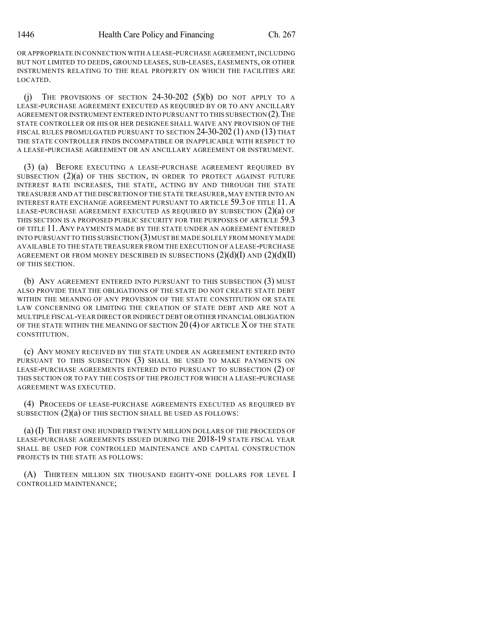OR APPROPRIATE IN CONNECTION WITH A LEASE-PURCHASE AGREEMENT,INCLUDING BUT NOT LIMITED TO DEEDS, GROUND LEASES, SUB-LEASES, EASEMENTS, OR OTHER INSTRUMENTS RELATING TO THE REAL PROPERTY ON WHICH THE FACILITIES ARE LOCATED.

(i) THE PROVISIONS OF SECTION  $24-30-202$  (5)(b) DO NOT APPLY TO A LEASE-PURCHASE AGREEMENT EXECUTED AS REQUIRED BY OR TO ANY ANCILLARY AGREEMENT OR INSTRUMENT ENTERED INTO PURSUANT TO THIS SUBSECTION (2). THE STATE CONTROLLER OR HIS OR HER DESIGNEE SHALL WAIVE ANY PROVISION OF THE FISCAL RULES PROMULGATED PURSUANT TO SECTION 24-30-202 (1) AND (13) THAT THE STATE CONTROLLER FINDS INCOMPATIBLE OR INAPPLICABLE WITH RESPECT TO A LEASE-PURCHASE AGREEMENT OR AN ANCILLARY AGREEMENT OR INSTRUMENT.

(3) (a) BEFORE EXECUTING A LEASE-PURCHASE AGREEMENT REQUIRED BY SUBSECTION (2)(a) OF THIS SECTION, IN ORDER TO PROTECT AGAINST FUTURE INTEREST RATE INCREASES, THE STATE, ACTING BY AND THROUGH THE STATE TREASURER AND AT THE DISCRETION OFTHE STATE TREASURER,MAY ENTER INTO AN INTEREST RATE EXCHANGE AGREEMENT PURSUANT TO ARTICLE 59.3 OF TITLE 11. A LEASE-PURCHASE AGREEMENT EXECUTED AS REQUIRED BY SUBSECTION (2)(a) OF THIS SECTION IS A PROPOSED PUBLIC SECURITY FOR THE PURPOSES OF ARTICLE 59.3 OF TITLE 11.ANY PAYMENTS MADE BY THE STATE UNDER AN AGREEMENT ENTERED INTO PURSUANT TO THIS SUBSECTION  $(3)$  MUST BE MADE SOLELY FROM MONEY MADE AVAILABLE TO THE STATE TREASURER FROM THE EXECUTION OF A LEASE-PURCHASE AGREEMENT OR FROM MONEY DESCRIBED IN SUBSECTIONS  $(2)(d)(I)$  AND  $(2)(d)(II)$ OF THIS SECTION.

(b) ANY AGREEMENT ENTERED INTO PURSUANT TO THIS SUBSECTION (3) MUST ALSO PROVIDE THAT THE OBLIGATIONS OF THE STATE DO NOT CREATE STATE DEBT WITHIN THE MEANING OF ANY PROVISION OF THE STATE CONSTITUTION OR STATE LAW CONCERNING OR LIMITING THE CREATION OF STATE DEBT AND ARE NOT A MULTIPLE FISCAL-YEAR DIRECT OR INDIRECT DEBT OR OTHER FINANCIAL OBLIGATION OF THE STATE WITHIN THE MEANING OF SECTION  $20(4)$  OF ARTICLE X OF THE STATE CONSTITUTION.

(c) ANY MONEY RECEIVED BY THE STATE UNDER AN AGREEMENT ENTERED INTO PURSUANT TO THIS SUBSECTION (3) SHALL BE USED TO MAKE PAYMENTS ON LEASE-PURCHASE AGREEMENTS ENTERED INTO PURSUANT TO SUBSECTION (2) OF THIS SECTION OR TO PAY THE COSTS OF THE PROJECT FOR WHICH A LEASE-PURCHASE AGREEMENT WAS EXECUTED.

(4) PROCEEDS OF LEASE-PURCHASE AGREEMENTS EXECUTED AS REQUIRED BY SUBSECTION (2)(a) OF THIS SECTION SHALL BE USED AS FOLLOWS:

(a) (I) THE FIRST ONE HUNDRED TWENTY MILLION DOLLARS OF THE PROCEEDS OF LEASE-PURCHASE AGREEMENTS ISSUED DURING THE 2018-19 STATE FISCAL YEAR SHALL BE USED FOR CONTROLLED MAINTENANCE AND CAPITAL CONSTRUCTION PROJECTS IN THE STATE AS FOLLOWS:

(A) THIRTEEN MILLION SIX THOUSAND EIGHTY-ONE DOLLARS FOR LEVEL I CONTROLLED MAINTENANCE;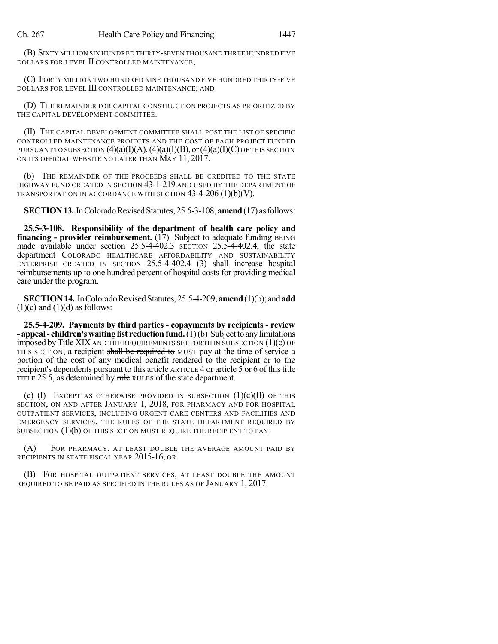(B) SIXTY MILLION SIX HUNDRED THIRTY-SEVEN THOUSAND THREE HUNDRED FIVE DOLLARS FOR LEVEL II CONTROLLED MAINTENANCE;

(C) FORTY MILLION TWO HUNDRED NINE THOUSAND FIVE HUNDRED THIRTY-FIVE DOLLARS FOR LEVEL III CONTROLLED MAINTENANCE; AND

(D) THE REMAINDER FOR CAPITAL CONSTRUCTION PROJECTS AS PRIORITIZED BY THE CAPITAL DEVELOPMENT COMMITTEE.

(II) THE CAPITAL DEVELOPMENT COMMITTEE SHALL POST THE LIST OF SPECIFIC CONTROLLED MAINTENANCE PROJECTS AND THE COST OF EACH PROJECT FUNDED PURSUANT TO SUBSECTION  $(4)(a)(I)(A), (4)(a)(I)(B),$  or  $(4)(a)(I)(C)$  of this section ON ITS OFFICIAL WEBSITE NO LATER THAN MAY 11, 2017.

(b) THE REMAINDER OF THE PROCEEDS SHALL BE CREDITED TO THE STATE HIGHWAY FUND CREATED IN SECTION 43-1-219 AND USED BY THE DEPARTMENT OF TRANSPORTATION IN ACCORDANCE WITH SECTION 43-4-206 (1)(b)(V).

**SECTION 13.** In Colorado Revised Statutes, 25.5-3-108, **amend** (17) as follows:

**25.5-3-108. Responsibility of the department of health care policy and financing** - **provider reimbursement.** (17) Subject to adequate funding BEING made available under section  $25.5-4-402.3$  SECTION 25.5-4-402.4, the state department COLORADO HEALTHCARE AFFORDABILITY AND SUSTAINABILITY ENTERPRISE CREATED IN SECTION 25.5-4-402.4 (3) shall increase hospital reimbursements up to one hundred percent of hospital costs for providing medical care under the program.

**SECTION 14.** In Colorado Revised Statutes, 25.5-4-209, **amend** (1)(b); and **add**  $(1)(c)$  and  $(1)(d)$  as follows:

**25.5-4-209. Payments by third parties - copayments by recipients - review - appeal- children'swaiting list reductionfund.**(1)(b) Subjectto anylimitations imposed by Title XIX AND THE REQUIREMENTS SET FORTH IN SUBSECTION  $(1)(c)$  OF THIS SECTION, a recipient shall be required to MUST pay at the time of service a portion of the cost of any medical benefit rendered to the recipient or to the recipient's dependents pursuant to this article ARTICLE 4 or article 5 or 6 of this title TITLE 25.5, as determined by rule RULES of the state department.

(c)  $(I)$  EXCEPT AS OTHERWISE PROVIDED IN SUBSECTION  $(I)(c)(II)$  of this SECTION, ON AND AFTER JANUARY 1, 2018, FOR PHARMACY AND FOR HOSPITAL OUTPATIENT SERVICES, INCLUDING URGENT CARE CENTERS AND FACILITIES AND EMERGENCY SERVICES, THE RULES OF THE STATE DEPARTMENT REQUIRED BY SUBSECTION  $(1)(b)$  OF THIS SECTION MUST REQUIRE THE RECIPIENT TO PAY:

(A) FOR PHARMACY, AT LEAST DOUBLE THE AVERAGE AMOUNT PAID BY RECIPIENTS IN STATE FISCAL YEAR 2015-16; OR

(B) FOR HOSPITAL OUTPATIENT SERVICES, AT LEAST DOUBLE THE AMOUNT REQUIRED TO BE PAID AS SPECIFIED IN THE RULES AS OF JANUARY 1, 2017.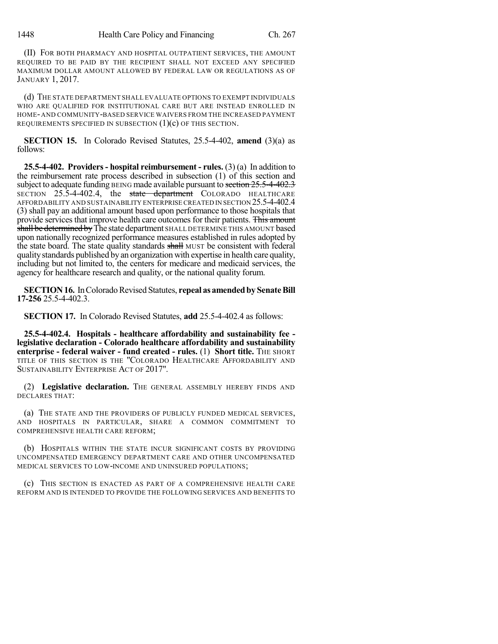(II) FOR BOTH PHARMACY AND HOSPITAL OUTPATIENT SERVICES, THE AMOUNT REQUIRED TO BE PAID BY THE RECIPIENT SHALL NOT EXCEED ANY SPECIFIED MAXIMUM DOLLAR AMOUNT ALLOWED BY FEDERAL LAW OR REGULATIONS AS OF JANUARY 1, 2017.

(d) THE STATE DEPARTMENT SHALL EVALUATE OPTIONS TO EXEMPT INDIVIDUALS WHO ARE QUALIFIED FOR INSTITUTIONAL CARE BUT ARE INSTEAD ENROLLED IN HOME-AND COMMUNITY-BASED SERVICE WAIVERS FROM THE INCREASED PAYMENT REQUIREMENTS SPECIFIED IN SUBSECTION  $(1)(c)$  OF THIS SECTION.

**SECTION 15.** In Colorado Revised Statutes, 25.5-4-402, **amend** (3)(a) as follows:

**25.5-4-402. Providers- hospital reimbursement - rules.** (3) (a) In addition to the reimbursement rate process described in subsection (1) of this section and subject to adequate funding BEING made available pursuant to section  $25.5-4-402.3$ SECTION 25.5-4-402.4, the state department COLORADO HEALTHCARE AFFORDABILITY AND SUSTAINABILITY ENTERPRISE CREATED IN SECTION 25.5-4-402.4 (3) shall pay an additional amount based upon performance to those hospitals that provide services that improve health care outcomes for their patients. This amount shall be determined by The state department SHALL DETERMINE THIS AMOUNT based upon nationally recognized performance measures established in rules adopted by the state board. The state quality standards shall MUST be consistent with federal qualitystandards published by an organization with expertise in health care quality, including but not limited to, the centers for medicare and medicaid services, the agency for healthcare research and quality, or the national quality forum.

**SECTION 16.** In Colorado Revised Statutes, repeal as amended by Senate Bill **17-256** 25.5-4-402.3.

**SECTION 17.** In Colorado Revised Statutes, **add** 25.5-4-402.4 as follows:

**25.5-4-402.4. Hospitals - healthcare affordability and sustainability fee legislative declaration - Colorado healthcare affordability and sustainability enterprise - federal waiver - fund created - rules.** (1) **Short title.** THE SHORT TITLE OF THIS SECTION IS THE "COLORADO HEALTHCARE AFFORDABILITY AND SUSTAINABILITY ENTERPRISE ACT OF 2017".

(2) **Legislative declaration.** THE GENERAL ASSEMBLY HEREBY FINDS AND DECLARES THAT:

(a) THE STATE AND THE PROVIDERS OF PUBLICLY FUNDED MEDICAL SERVICES, AND HOSPITALS IN PARTICULAR, SHARE A COMMON COMMITMENT TO COMPREHENSIVE HEALTH CARE REFORM;

(b) HOSPITALS WITHIN THE STATE INCUR SIGNIFICANT COSTS BY PROVIDING UNCOMPENSATED EMERGENCY DEPARTMENT CARE AND OTHER UNCOMPENSATED MEDICAL SERVICES TO LOW-INCOME AND UNINSURED POPULATIONS;

(c) THIS SECTION IS ENACTED AS PART OF A COMPREHENSIVE HEALTH CARE REFORM AND IS INTENDED TO PROVIDE THE FOLLOWING SERVICES AND BENEFITS TO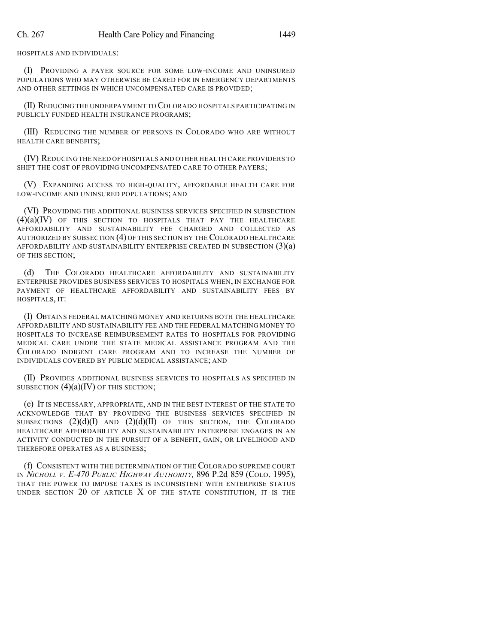HOSPITALS AND INDIVIDUALS:

(I) PROVIDING A PAYER SOURCE FOR SOME LOW-INCOME AND UNINSURED POPULATIONS WHO MAY OTHERWISE BE CARED FOR IN EMERGENCY DEPARTMENTS AND OTHER SETTINGS IN WHICH UNCOMPENSATED CARE IS PROVIDED;

(II) REDUCING THE UNDERPAYMENT TO COLORADO HOSPITALS PARTICIPATING IN PUBLICLY FUNDED HEALTH INSURANCE PROGRAMS;

(III) REDUCING THE NUMBER OF PERSONS IN COLORADO WHO ARE WITHOUT HEALTH CARE BENEFITS;

(IV) REDUCING THE NEED OF HOSPITALS AND OTHER HEALTH CARE PROVIDERS TO SHIFT THE COST OF PROVIDING UNCOMPENSATED CARE TO OTHER PAYERS;

(V) EXPANDING ACCESS TO HIGH-QUALITY, AFFORDABLE HEALTH CARE FOR LOW-INCOME AND UNINSURED POPULATIONS; AND

(VI) PROVIDING THE ADDITIONAL BUSINESS SERVICES SPECIFIED IN SUBSECTION (4)(a)(IV) OF THIS SECTION TO HOSPITALS THAT PAY THE HEALTHCARE AFFORDABILITY AND SUSTAINABILITY FEE CHARGED AND COLLECTED AS AUTHORIZED BY SUBSECTION (4) OF THIS SECTION BY THE COLORADO HEALTHCARE AFFORDABILITY AND SUSTAINABILITY ENTERPRISE CREATED IN SUBSECTION  $(3)(a)$ OF THIS SECTION;

THE COLORADO HEALTHCARE AFFORDABILITY AND SUSTAINABILITY ENTERPRISE PROVIDES BUSINESS SERVICES TO HOSPITALS WHEN, IN EXCHANGE FOR PAYMENT OF HEALTHCARE AFFORDABILITY AND SUSTAINABILITY FEES BY HOSPITALS, IT:

(I) OBTAINS FEDERAL MATCHING MONEY AND RETURNS BOTH THE HEALTHCARE AFFORDABILITY AND SUSTAINABILITY FEE AND THE FEDERAL MATCHING MONEY TO HOSPITALS TO INCREASE REIMBURSEMENT RATES TO HOSPITALS FOR PROVIDING MEDICAL CARE UNDER THE STATE MEDICAL ASSISTANCE PROGRAM AND THE COLORADO INDIGENT CARE PROGRAM AND TO INCREASE THE NUMBER OF INDIVIDUALS COVERED BY PUBLIC MEDICAL ASSISTANCE; AND

(II) PROVIDES ADDITIONAL BUSINESS SERVICES TO HOSPITALS AS SPECIFIED IN SUBSECTION  $(4)(a)(IV)$  OF THIS SECTION;

(e) IT IS NECESSARY, APPROPRIATE, AND IN THE BEST INTEREST OF THE STATE TO ACKNOWLEDGE THAT BY PROVIDING THE BUSINESS SERVICES SPECIFIED IN SUBSECTIONS  $(2)(d)(I)$  AND  $(2)(d)(II)$  OF THIS SECTION, THE COLORADO HEALTHCARE AFFORDABILITY AND SUSTAINABILITY ENTERPRISE ENGAGES IN AN ACTIVITY CONDUCTED IN THE PURSUIT OF A BENEFIT, GAIN, OR LIVELIHOOD AND THEREFORE OPERATES AS A BUSINESS;

(f) CONSISTENT WITH THE DETERMINATION OF THE COLORADO SUPREME COURT IN *NICHOLL V. E-470 PUBLIC HIGHWAY AUTHORITY,* 896 P.2d 859 (COLO. 1995), THAT THE POWER TO IMPOSE TAXES IS INCONSISTENT WITH ENTERPRISE STATUS UNDER SECTION 20 OF ARTICLE X OF THE STATE CONSTITUTION, IT IS THE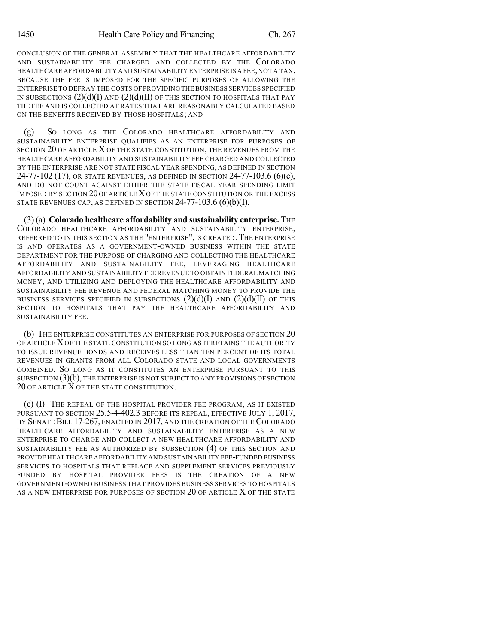CONCLUSION OF THE GENERAL ASSEMBLY THAT THE HEALTHCARE AFFORDABILITY AND SUSTAINABILITY FEE CHARGED AND COLLECTED BY THE COLORADO HEALTHCARE AFFORDABILITY AND SUSTAINABILITY ENTERPRISE IS A FEE, NOT A TAX, BECAUSE THE FEE IS IMPOSED FOR THE SPECIFIC PURPOSES OF ALLOWING THE ENTERPRISE TO DEFRAY THE COSTS OF PROVIDING THE BUSINESS SERVICES SPECIFIED IN SUBSECTIONS  $(2)(d)(I)$  and  $(2)(d)(II)$  of this section to hospitals that pay THE FEE AND IS COLLECTED AT RATES THAT ARE REASONABLY CALCULATED BASED ON THE BENEFITS RECEIVED BY THOSE HOSPITALS; AND

(g) SO LONG AS THE COLORADO HEALTHCARE AFFORDABILITY AND SUSTAINABILITY ENTERPRISE QUALIFIES AS AN ENTERPRISE FOR PURPOSES OF SECTION 20 OF ARTICLE X OF THE STATE CONSTITUTION, THE REVENUES FROM THE HEALTHCARE AFFORDABILITY AND SUSTAINABILITY FEE CHARGED AND COLLECTED BY THE ENTERPRISE ARE NOT STATE FISCAL YEAR SPENDING, AS DEFINED IN SECTION 24-77-102 (17), OR STATE REVENUES, AS DEFINED IN SECTION 24-77-103.6 (6)(c), AND DO NOT COUNT AGAINST EITHER THE STATE FISCAL YEAR SPENDING LIMIT IMPOSED BY SECTION 20 OF ARTICLE XOF THE STATE CONSTITUTION OR THE EXCESS STATE REVENUES CAP, AS DEFINED IN SECTION  $24-77-103.6$  (6)(b)(I).

(3) (a) **Colorado healthcare affordability and sustainability enterprise.** THE COLORADO HEALTHCARE AFFORDABILITY AND SUSTAINABILITY ENTERPRISE, REFERRED TO IN THIS SECTION AS THE "ENTERPRISE", IS CREATED. THE ENTERPRISE IS AND OPERATES AS A GOVERNMENT-OWNED BUSINESS WITHIN THE STATE DEPARTMENT FOR THE PURPOSE OF CHARGING AND COLLECTING THE HEALTHCARE AFFORDABILITY AND SUSTAINABILITY FEE, LEVERAGING HEALTHCARE AFFORDABILITY AND SUSTAINABILITY FEE REVENUE TO OBTAIN FEDERAL MATCHING MONEY, AND UTILIZING AND DEPLOYING THE HEALTHCARE AFFORDABILITY AND SUSTAINABILITY FEE REVENUE AND FEDERAL MATCHING MONEY TO PROVIDE THE BUSINESS SERVICES SPECIFIED IN SUBSECTIONS  $(2)(d)(I)$  and  $(2)(d)(II)$  of this SECTION TO HOSPITALS THAT PAY THE HEALTHCARE AFFORDABILITY AND SUSTAINABILITY FEE.

(b) THE ENTERPRISE CONSTITUTES AN ENTERPRISE FOR PURPOSES OF SECTION 20 OF ARTICLE X OF THE STATE CONSTITUTION SO LONG AS IT RETAINS THE AUTHORITY TO ISSUE REVENUE BONDS AND RECEIVES LESS THAN TEN PERCENT OF ITS TOTAL REVENUES IN GRANTS FROM ALL COLORADO STATE AND LOCAL GOVERNMENTS COMBINED. SO LONG AS IT CONSTITUTES AN ENTERPRISE PURSUANT TO THIS SUBSECTION (3)(b), THE ENTERPRISE IS NOT SUBJECT TO ANY PROVISIONS OF SECTION 20 OF ARTICLE X OF THE STATE CONSTITUTION.

(c) (I) THE REPEAL OF THE HOSPITAL PROVIDER FEE PROGRAM, AS IT EXISTED PURSUANT TO SECTION 25.5-4-402.3 BEFORE ITS REPEAL, EFFECTIVE JULY 1, 2017, BY SENATE BILL 17-267, ENACTED IN 2017, AND THE CREATION OF THE COLORADO HEALTHCARE AFFORDABILITY AND SUSTAINABILITY ENTERPRISE AS A NEW ENTERPRISE TO CHARGE AND COLLECT A NEW HEALTHCARE AFFORDABILITY AND SUSTAINABILITY FEE AS AUTHORIZED BY SUBSECTION (4) OF THIS SECTION AND PROVIDE HEALTHCARE AFFORDABILITY AND SUSTAINABILITY FEE-FUNDED BUSINESS SERVICES TO HOSPITALS THAT REPLACE AND SUPPLEMENT SERVICES PREVIOUSLY FUNDED BY HOSPITAL PROVIDER FEES IS THE CREATION OF A NEW GOVERNMENT-OWNED BUSINESS THAT PROVIDES BUSINESS SERVICES TO HOSPITALS AS A NEW ENTERPRISE FOR PURPOSES OF SECTION 20 OF ARTICLE X OF THE STATE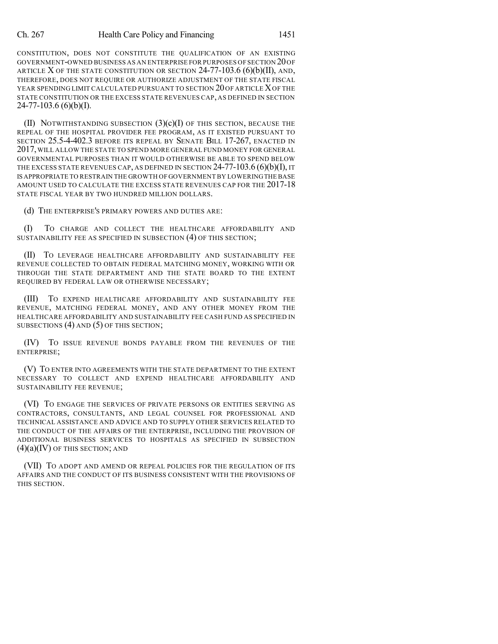CONSTITUTION, DOES NOT CONSTITUTE THE QUALIFICATION OF AN EXISTING GOVERNMENT-OWNED BUSINESS AS AN ENTERPRISE FOR PURPOSES OF SECTION 20OF ARTICLE X OF THE STATE CONSTITUTION OR SECTION  $24$ -77-103.6 (6)(b)(II), and, THEREFORE, DOES NOT REQUIRE OR AUTHORIZE ADJUSTMENT OF THE STATE FISCAL YEAR SPENDING LIMIT CALCULATED PURSUANT TO SECTION 20 OF ARTICLE XOF THE STATE CONSTITUTION OR THE EXCESS STATE REVENUES CAP, AS DEFINED IN SECTION  $24-77-103.6$  (6)(b)(I).

(II) NOTWITHSTANDING SUBSECTION  $(3)(c)(I)$  of this section, because the REPEAL OF THE HOSPITAL PROVIDER FEE PROGRAM, AS IT EXISTED PURSUANT TO SECTION 25.5-4-402.3 BEFORE ITS REPEAL BY SENATE BILL 17-267, ENACTED IN 2017,WILL ALLOW THE STATE TO SPEND MORE GENERAL FUND MONEY FOR GENERAL GOVERNMENTAL PURPOSES THAN IT WOULD OTHERWISE BE ABLE TO SPEND BELOW THE EXCESS STATE REVENUES CAP, AS DEFINED IN SECTION  $24-77-103.6$  (6)(b)(I), IT IS APPROPRIATE TO RESTRAIN THE GROWTH OF GOVERNMENT BY LOWERINGTHE BASE AMOUNT USED TO CALCULATE THE EXCESS STATE REVENUES CAP FOR THE 2017-18 STATE FISCAL YEAR BY TWO HUNDRED MILLION DOLLARS.

(d) THE ENTERPRISE'S PRIMARY POWERS AND DUTIES ARE:

(I) TO CHARGE AND COLLECT THE HEALTHCARE AFFORDABILITY AND SUSTAINABILITY FEE AS SPECIFIED IN SUBSECTION (4) OF THIS SECTION;

(II) TO LEVERAGE HEALTHCARE AFFORDABILITY AND SUSTAINABILITY FEE REVENUE COLLECTED TO OBTAIN FEDERAL MATCHING MONEY, WORKING WITH OR THROUGH THE STATE DEPARTMENT AND THE STATE BOARD TO THE EXTENT REQUIRED BY FEDERAL LAW OR OTHERWISE NECESSARY;

(III) TO EXPEND HEALTHCARE AFFORDABILITY AND SUSTAINABILITY FEE REVENUE, MATCHING FEDERAL MONEY, AND ANY OTHER MONEY FROM THE HEALTHCARE AFFORDABILITY AND SUSTAINABILITY FEE CASH FUND AS SPECIFIED IN SUBSECTIONS (4) AND (5) OF THIS SECTION;

(IV) TO ISSUE REVENUE BONDS PAYABLE FROM THE REVENUES OF THE ENTERPRISE;

(V) TO ENTER INTO AGREEMENTS WITH THE STATE DEPARTMENT TO THE EXTENT NECESSARY TO COLLECT AND EXPEND HEALTHCARE AFFORDABILITY AND SUSTAINABILITY FEE REVENUE;

(VI) TO ENGAGE THE SERVICES OF PRIVATE PERSONS OR ENTITIES SERVING AS CONTRACTORS, CONSULTANTS, AND LEGAL COUNSEL FOR PROFESSIONAL AND TECHNICAL ASSISTANCE AND ADVICE AND TO SUPPLY OTHER SERVICES RELATED TO THE CONDUCT OF THE AFFAIRS OF THE ENTERPRISE, INCLUDING THE PROVISION OF ADDITIONAL BUSINESS SERVICES TO HOSPITALS AS SPECIFIED IN SUBSECTION  $(4)(a)(IV)$  of this section; and

(VII) TO ADOPT AND AMEND OR REPEAL POLICIES FOR THE REGULATION OF ITS AFFAIRS AND THE CONDUCT OF ITS BUSINESS CONSISTENT WITH THE PROVISIONS OF THIS SECTION.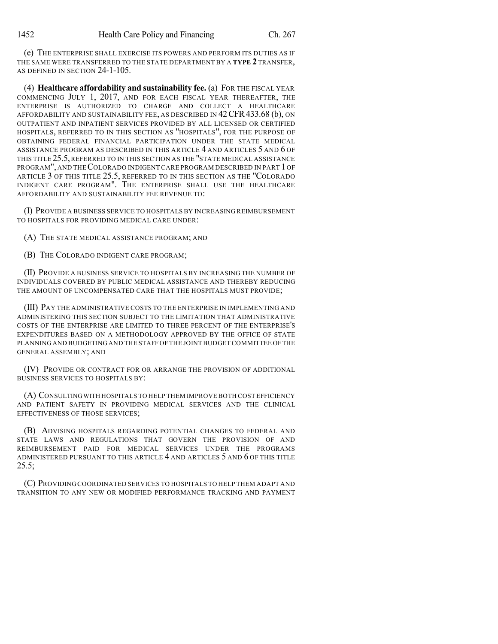(e) THE ENTERPRISE SHALL EXERCISE ITS POWERS AND PERFORM ITS DUTIES AS IF THE SAME WERE TRANSFERRED TO THE STATE DEPARTMENT BY A **TYPE 2** TRANSFER, AS DEFINED IN SECTION 24-1-105.

(4) **Healthcare affordability and sustainability fee.** (a) FOR THE FISCAL YEAR COMMENCING JULY 1, 2017, AND FOR EACH FISCAL YEAR THEREAFTER, THE ENTERPRISE IS AUTHORIZED TO CHARGE AND COLLECT A HEALTHCARE AFFORDABILITY AND SUSTAINABILITY FEE, AS DESCRIBED IN 42CFR433.68 (b), ON OUTPATIENT AND INPATIENT SERVICES PROVIDED BY ALL LICENSED OR CERTIFIED HOSPITALS, REFERRED TO IN THIS SECTION AS "HOSPITALS", FOR THE PURPOSE OF OBTAINING FEDERAL FINANCIAL PARTICIPATION UNDER THE STATE MEDICAL ASSISTANCE PROGRAM AS DESCRIBED IN THIS ARTICLE 4 AND ARTICLES 5 AND 6 OF THIS TITLE 25.5, REFERRED TO IN THIS SECTION AS THE "STATE MEDICAL ASSISTANCE PROGRAM", AND THECOLORADO INDIGENT CARE PROGRAM DESCRIBED IN PART 1 OF ARTICLE 3 OF THIS TITLE 25.5, REFERRED TO IN THIS SECTION AS THE "COLORADO INDIGENT CARE PROGRAM". THE ENTERPRISE SHALL USE THE HEALTHCARE AFFORDABILITY AND SUSTAINABILITY FEE REVENUE TO:

(I) PROVIDE A BUSINESS SERVICE TO HOSPITALS BY INCREASING REIMBURSEMENT TO HOSPITALS FOR PROVIDING MEDICAL CARE UNDER:

(A) THE STATE MEDICAL ASSISTANCE PROGRAM; AND

(B) THE COLORADO INDIGENT CARE PROGRAM;

(II) PROVIDE A BUSINESS SERVICE TO HOSPITALS BY INCREASING THE NUMBER OF INDIVIDUALS COVERED BY PUBLIC MEDICAL ASSISTANCE AND THEREBY REDUCING THE AMOUNT OF UNCOMPENSATED CARE THAT THE HOSPITALS MUST PROVIDE;

(III) PAY THE ADMINISTRATIVE COSTS TO THE ENTERPRISE IN IMPLEMENTING AND ADMINISTERING THIS SECTION SUBJECT TO THE LIMITATION THAT ADMINISTRATIVE COSTS OF THE ENTERPRISE ARE LIMITED TO THREE PERCENT OF THE ENTERPRISE'S EXPENDITURES BASED ON A METHODOLOGY APPROVED BY THE OFFICE OF STATE PLANNING AND BUDGETING AND THE STAFF OF THE JOINT BUDGET COMMITTEE OFTHE GENERAL ASSEMBLY; AND

(IV) PROVIDE OR CONTRACT FOR OR ARRANGE THE PROVISION OF ADDITIONAL BUSINESS SERVICES TO HOSPITALS BY:

(A) CONSULTINGWITH HOSPITALS TO HELP THEM IMPROVE BOTH COST EFFICIENCY AND PATIENT SAFETY IN PROVIDING MEDICAL SERVICES AND THE CLINICAL EFFECTIVENESS OF THOSE SERVICES;

(B) ADVISING HOSPITALS REGARDING POTENTIAL CHANGES TO FEDERAL AND STATE LAWS AND REGULATIONS THAT GOVERN THE PROVISION OF AND REIMBURSEMENT PAID FOR MEDICAL SERVICES UNDER THE PROGRAMS ADMINISTERED PURSUANT TO THIS ARTICLE 4 AND ARTICLES 5 AND 6 OF THIS TITLE  $25.5;$ 

(C) PROVIDING COORDINATED SERVICES TO HOSPITALS TO HELP THEM ADAPT AND TRANSITION TO ANY NEW OR MODIFIED PERFORMANCE TRACKING AND PAYMENT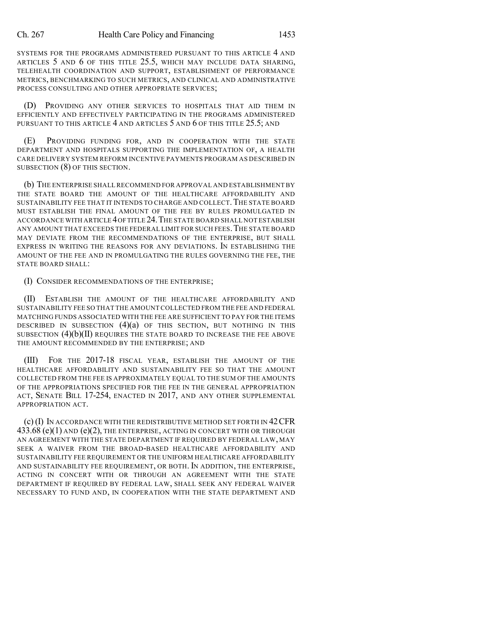SYSTEMS FOR THE PROGRAMS ADMINISTERED PURSUANT TO THIS ARTICLE 4 AND ARTICLES 5 AND 6 OF THIS TITLE 25.5, WHICH MAY INCLUDE DATA SHARING, TELEHEALTH COORDINATION AND SUPPORT, ESTABLISHMENT OF PERFORMANCE METRICS, BENCHMARKING TO SUCH METRICS, AND CLINICAL AND ADMINISTRATIVE PROCESS CONSULTING AND OTHER APPROPRIATE SERVICES;

(D) PROVIDING ANY OTHER SERVICES TO HOSPITALS THAT AID THEM IN EFFICIENTLY AND EFFECTIVELY PARTICIPATING IN THE PROGRAMS ADMINISTERED PURSUANT TO THIS ARTICLE 4 AND ARTICLES 5 AND 6 OF THIS TITLE 25.5; AND

(E) PROVIDING FUNDING FOR, AND IN COOPERATION WITH THE STATE DEPARTMENT AND HOSPITALS SUPPORTING THE IMPLEMENTATION OF, A HEALTH CARE DELIVERY SYSTEM REFORM INCENTIVE PAYMENTS PROGRAM AS DESCRIBED IN SUBSECTION (8) OF THIS SECTION.

(b) THE ENTERPRISE SHALL RECOMMEND FOR APPROVAL AND ESTABLISHMENT BY THE STATE BOARD THE AMOUNT OF THE HEALTHCARE AFFORDABILITY AND SUSTAINABILITY FEE THAT IT INTENDS TO CHARGE AND COLLECT. THE STATE BOARD MUST ESTABLISH THE FINAL AMOUNT OF THE FEE BY RULES PROMULGATED IN ACCORDANCE WITH ARTICLE 4OFTITLE 24.THE STATE BOARD SHALL NOT ESTABLISH ANY AMOUNT THAT EXCEEDS THE FEDERAL LIMIT FOR SUCH FEES.THE STATE BOARD MAY DEVIATE FROM THE RECOMMENDATIONS OF THE ENTERPRISE, BUT SHALL EXPRESS IN WRITING THE REASONS FOR ANY DEVIATIONS. IN ESTABLISHING THE AMOUNT OF THE FEE AND IN PROMULGATING THE RULES GOVERNING THE FEE, THE STATE BOARD SHALL:

(I) CONSIDER RECOMMENDATIONS OF THE ENTERPRISE;

(II) ESTABLISH THE AMOUNT OF THE HEALTHCARE AFFORDABILITY AND SUSTAINABILITY FEE SO THAT THE AMOUNT COLLECTED FROM THE FEE AND FEDERAL MATCHING FUNDS ASSOCIATED WITH THE FEE ARE SUFFICIENT TO PAY FOR THE ITEMS DESCRIBED IN SUBSECTION (4)(a) OF THIS SECTION, BUT NOTHING IN THIS SUBSECTION  $(4)(b)(II)$  requires the state board to increase the fee above THE AMOUNT RECOMMENDED BY THE ENTERPRISE; AND

(III) FOR THE 2017-18 FISCAL YEAR, ESTABLISH THE AMOUNT OF THE HEALTHCARE AFFORDABILITY AND SUSTAINABILITY FEE SO THAT THE AMOUNT COLLECTED FROM THE FEE IS APPROXIMATELY EQUAL TO THE SUM OF THE AMOUNTS OF THE APPROPRIATIONS SPECIFIED FOR THE FEE IN THE GENERAL APPROPRIATION ACT, SENATE BILL 17-254, ENACTED IN 2017, AND ANY OTHER SUPPLEMENTAL APPROPRIATION ACT.

(c) (I) IN ACCORDANCE WITH THE REDISTRIBUTIVE METHOD SET FORTH IN 42CFR  $433.68$  (e)(1) and (e)(2), the enterprise, acting in concert with or through AN AGREEMENT WITH THE STATE DEPARTMENT IF REQUIRED BY FEDERAL LAW, MAY SEEK A WAIVER FROM THE BROAD-BASED HEALTHCARE AFFORDABILITY AND SUSTAINABILITY FEE REQUIREMENT OR THE UNIFORM HEALTHCARE AFFORDABILITY AND SUSTAINABILITY FEE REQUIREMENT, OR BOTH. IN ADDITION, THE ENTERPRISE, ACTING IN CONCERT WITH OR THROUGH AN AGREEMENT WITH THE STATE DEPARTMENT IF REQUIRED BY FEDERAL LAW, SHALL SEEK ANY FEDERAL WAIVER NECESSARY TO FUND AND, IN COOPERATION WITH THE STATE DEPARTMENT AND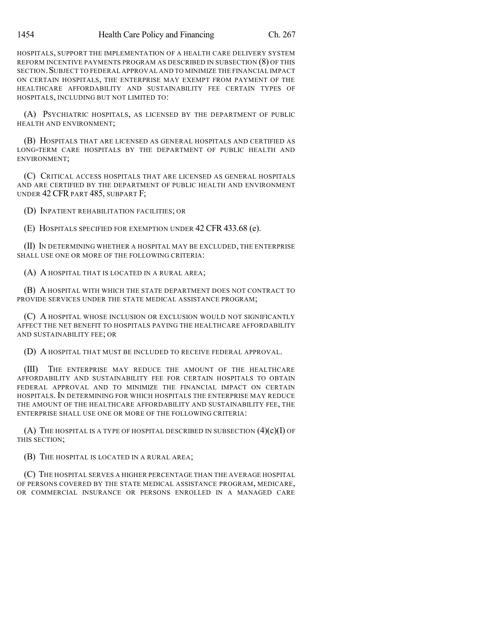HOSPITALS, SUPPORT THE IMPLEMENTATION OF A HEALTH CARE DELIVERY SYSTEM REFORM INCENTIVE PAYMENTS PROGRAM AS DESCRIBED IN SUBSECTION (8) OF THIS SECTION.SUBJECT TO FEDERAL APPROVAL AND TO MINIMIZE THE FINANCIAL IMPACT ON CERTAIN HOSPITALS, THE ENTERPRISE MAY EXEMPT FROM PAYMENT OF THE HEALTHCARE AFFORDABILITY AND SUSTAINABILITY FEE CERTAIN TYPES OF HOSPITALS, INCLUDING BUT NOT LIMITED TO:

(A) PSYCHIATRIC HOSPITALS, AS LICENSED BY THE DEPARTMENT OF PUBLIC HEALTH AND ENVIRONMENT;

(B) HOSPITALS THAT ARE LICENSED AS GENERAL HOSPITALS AND CERTIFIED AS LONG-TERM CARE HOSPITALS BY THE DEPARTMENT OF PUBLIC HEALTH AND ENVIRONMENT;

(C) CRITICAL ACCESS HOSPITALS THAT ARE LICENSED AS GENERAL HOSPITALS AND ARE CERTIFIED BY THE DEPARTMENT OF PUBLIC HEALTH AND ENVIRONMENT UNDER 42 CFR PART 485, SUBPART F;

(D) INPATIENT REHABILITATION FACILITIES; OR

(E) HOSPITALS SPECIFIED FOR EXEMPTION UNDER 42 CFR 433.68 (e).

(II) IN DETERMINING WHETHER A HOSPITAL MAY BE EXCLUDED, THE ENTERPRISE SHALL USE ONE OR MORE OF THE FOLLOWING CRITERIA:

(A) A HOSPITAL THAT IS LOCATED IN A RURAL AREA;

(B) A HOSPITAL WITH WHICH THE STATE DEPARTMENT DOES NOT CONTRACT TO PROVIDE SERVICES UNDER THE STATE MEDICAL ASSISTANCE PROGRAM;

(C) A HOSPITAL WHOSE INCLUSION OR EXCLUSION WOULD NOT SIGNIFICANTLY AFFECT THE NET BENEFIT TO HOSPITALS PAYING THE HEALTHCARE AFFORDABILITY AND SUSTAINABILITY FEE; OR

(D) A HOSPITAL THAT MUST BE INCLUDED TO RECEIVE FEDERAL APPROVAL.

(III) THE ENTERPRISE MAY REDUCE THE AMOUNT OF THE HEALTHCARE AFFORDABILITY AND SUSTAINABILITY FEE FOR CERTAIN HOSPITALS TO OBTAIN FEDERAL APPROVAL AND TO MINIMIZE THE FINANCIAL IMPACT ON CERTAIN HOSPITALS. IN DETERMINING FOR WHICH HOSPITALS THE ENTERPRISE MAY REDUCE THE AMOUNT OF THE HEALTHCARE AFFORDABILITY AND SUSTAINABILITY FEE, THE ENTERPRISE SHALL USE ONE OR MORE OF THE FOLLOWING CRITERIA:

(A) THE HOSPITAL IS A TYPE OF HOSPITAL DESCRIBED IN SUBSECTION  $(4)(c)(I)$  OF THIS SECTION;

(B) THE HOSPITAL IS LOCATED IN A RURAL AREA;

(C) THE HOSPITAL SERVES A HIGHER PERCENTAGE THAN THE AVERAGE HOSPITAL OF PERSONS COVERED BY THE STATE MEDICAL ASSISTANCE PROGRAM, MEDICARE, OR COMMERCIAL INSURANCE OR PERSONS ENROLLED IN A MANAGED CARE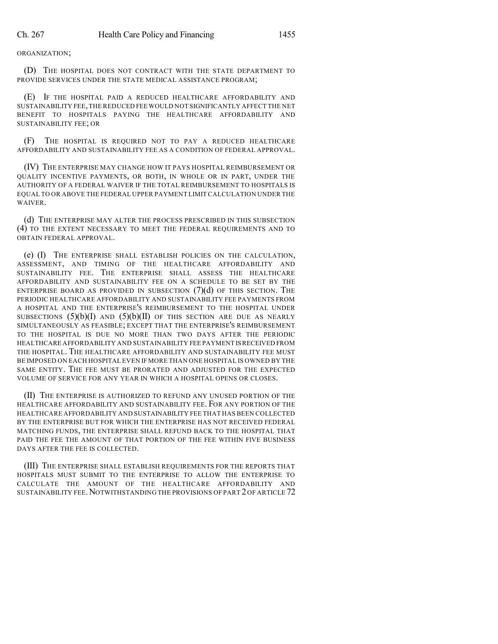ORGANIZATION;

(D) THE HOSPITAL DOES NOT CONTRACT WITH THE STATE DEPARTMENT TO PROVIDE SERVICES UNDER THE STATE MEDICAL ASSISTANCE PROGRAM;

(E) IF THE HOSPITAL PAID A REDUCED HEALTHCARE AFFORDABILITY AND SUSTAINABILITY FEE,THE REDUCED FEE WOULD NOT SIGNIFICANTLY AFFECT THE NET BENEFIT TO HOSPITALS PAYING THE HEALTHCARE AFFORDABILITY AND SUSTAINABILITY FEE; OR

(F) THE HOSPITAL IS REQUIRED NOT TO PAY A REDUCED HEALTHCARE AFFORDABILITY AND SUSTAINABILITY FEE AS A CONDITION OF FEDERAL APPROVAL.

(IV) THE ENTERPRISE MAY CHANGE HOW IT PAYS HOSPITAL REIMBURSEMENT OR QUALITY INCENTIVE PAYMENTS, OR BOTH, IN WHOLE OR IN PART, UNDER THE AUTHORITY OF A FEDERAL WAIVER IF THE TOTAL REIMBURSEMENT TO HOSPITALS IS EQUAL TO OR ABOVE THE FEDERAL UPPER PAYMENT LIMIT CALCULATION UNDER THE WAIVER.

(d) THE ENTERPRISE MAY ALTER THE PROCESS PRESCRIBED IN THIS SUBSECTION (4) TO THE EXTENT NECESSARY TO MEET THE FEDERAL REQUIREMENTS AND TO OBTAIN FEDERAL APPROVAL.

(e) (I) THE ENTERPRISE SHALL ESTABLISH POLICIES ON THE CALCULATION, ASSESSMENT, AND TIMING OF THE HEALTHCARE AFFORDABILITY AND SUSTAINABILITY FEE. THE ENTERPRISE SHALL ASSESS THE HEALTHCARE AFFORDABILITY AND SUSTAINABILITY FEE ON A SCHEDULE TO BE SET BY THE ENTERPRISE BOARD AS PROVIDED IN SUBSECTION  $(7)(d)$  of this section. The PERIODIC HEALTHCARE AFFORDABILITY AND SUSTAINABILITY FEE PAYMENTS FROM A HOSPITAL AND THE ENTERPRISE'S REIMBURSEMENT TO THE HOSPITAL UNDER SUBSECTIONS  $(5)(b)(I)$  AND  $(5)(b)(II)$  OF THIS SECTION ARE DUE AS NEARLY SIMULTANEOUSLY AS FEASIBLE; EXCEPT THAT THE ENTERPRISE'S REIMBURSEMENT TO THE HOSPITAL IS DUE NO MORE THAN TWO DAYS AFTER THE PERIODIC HEALTHCARE AFFORDABILITY AND SUSTAINABILITY FEE PAYMENT ISRECEIVED FROM THE HOSPITAL. THE HEALTHCARE AFFORDABILITY AND SUSTAINABILITY FEE MUST BE IMPOSED ON EACH HOSPITAL EVEN IF MORE THAN ONE HOSPITAL IS OWNED BY THE SAME ENTITY. THE FEE MUST BE PRORATED AND ADJUSTED FOR THE EXPECTED VOLUME OF SERVICE FOR ANY YEAR IN WHICH A HOSPITAL OPENS OR CLOSES.

(II) THE ENTERPRISE IS AUTHORIZED TO REFUND ANY UNUSED PORTION OF THE HEALTHCARE AFFORDABILITY AND SUSTAINABILITY FEE. FOR ANY PORTION OF THE HEALTHCARE AFFORDABILITY AND SUSTAINABILITY FEE THAT HAS BEEN COLLECTED BY THE ENTERPRISE BUT FOR WHICH THE ENTERPRISE HAS NOT RECEIVED FEDERAL MATCHING FUNDS, THE ENTERPRISE SHALL REFUND BACK TO THE HOSPITAL THAT PAID THE FEE THE AMOUNT OF THAT PORTION OF THE FEE WITHIN FIVE BUSINESS DAYS AFTER THE FEE IS COLLECTED.

(III) THE ENTERPRISE SHALL ESTABLISH REQUIREMENTS FOR THE REPORTS THAT HOSPITALS MUST SUBMIT TO THE ENTERPRISE TO ALLOW THE ENTERPRISE TO CALCULATE THE AMOUNT OF THE HEALTHCARE AFFORDABILITY AND SUSTAINABILITY FEE.NOTWITHSTANDING THE PROVISIONS OF PART 2 OF ARTICLE 72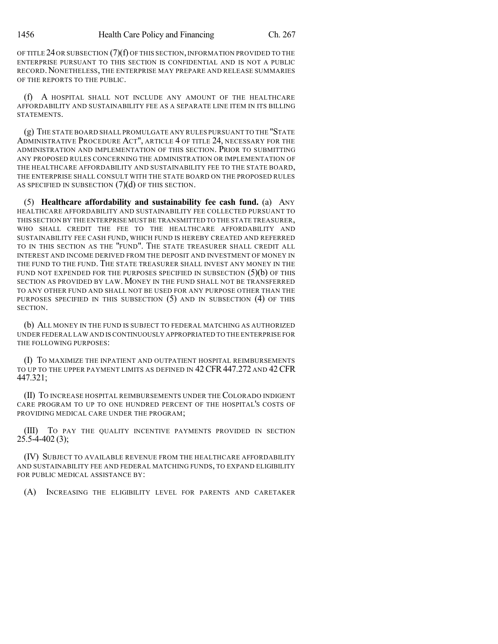OF TITLE 24OR SUBSECTION (7)(f) OF THIS SECTION,INFORMATION PROVIDED TO THE ENTERPRISE PURSUANT TO THIS SECTION IS CONFIDENTIAL AND IS NOT A PUBLIC RECORD. NONETHELESS, THE ENTERPRISE MAY PREPARE AND RELEASE SUMMARIES OF THE REPORTS TO THE PUBLIC.

(f) A HOSPITAL SHALL NOT INCLUDE ANY AMOUNT OF THE HEALTHCARE AFFORDABILITY AND SUSTAINABILITY FEE AS A SEPARATE LINE ITEM IN ITS BILLING STATEMENTS.

(g) THE STATE BOARD SHALL PROMULGATE ANY RULES PURSUANT TO THE "STATE ADMINISTRATIVE PROCEDURE ACT", ARTICLE 4 OF TITLE 24, NECESSARY FOR THE ADMINISTRATION AND IMPLEMENTATION OF THIS SECTION. PRIOR TO SUBMITTING ANY PROPOSED RULES CONCERNING THE ADMINISTRATION OR IMPLEMENTATION OF THE HEALTHCARE AFFORDABILITY AND SUSTAINABILITY FEE TO THE STATE BOARD, THE ENTERPRISE SHALL CONSULT WITH THE STATE BOARD ON THE PROPOSED RULES AS SPECIFIED IN SUBSECTION (7)(d) OF THIS SECTION.

(5) **Healthcare affordability and sustainability fee cash fund.** (a) ANY HEALTHCARE AFFORDABILITY AND SUSTAINABILITY FEE COLLECTED PURSUANT TO THIS SECTION BY THE ENTERPRISE MUST BE TRANSMITTED TO THE STATE TREASURER, WHO SHALL CREDIT THE FEE TO THE HEALTHCARE AFFORDABILITY AND SUSTAINABILITY FEE CASH FUND, WHICH FUND IS HEREBY CREATED AND REFERRED TO IN THIS SECTION AS THE "FUND". THE STATE TREASURER SHALL CREDIT ALL INTEREST AND INCOME DERIVED FROM THE DEPOSIT AND INVESTMENT OF MONEY IN THE FUND TO THE FUND. THE STATE TREASURER SHALL INVEST ANY MONEY IN THE FUND NOT EXPENDED FOR THE PURPOSES SPECIFIED IN SUBSECTION  $(5)(b)$  of this SECTION AS PROVIDED BY LAW. MONEY IN THE FUND SHALL NOT BE TRANSFERRED TO ANY OTHER FUND AND SHALL NOT BE USED FOR ANY PURPOSE OTHER THAN THE PURPOSES SPECIFIED IN THIS SUBSECTION (5) AND IN SUBSECTION (4) OF THIS SECTION.

(b) ALL MONEY IN THE FUND IS SUBJECT TO FEDERAL MATCHING AS AUTHORIZED UNDER FEDERAL LAW AND IS CONTINUOUSLY APPROPRIATED TO THE ENTERPRISE FOR THE FOLLOWING PURPOSES:

(I) TO MAXIMIZE THE INPATIENT AND OUTPATIENT HOSPITAL REIMBURSEMENTS TO UP TO THE UPPER PAYMENT LIMITS AS DEFINED IN 42 CFR 447.272 AND 42 CFR 447.321;

(II) TO INCREASE HOSPITAL REIMBURSEMENTS UNDER THE COLORADO INDIGENT CARE PROGRAM TO UP TO ONE HUNDRED PERCENT OF THE HOSPITAL'S COSTS OF PROVIDING MEDICAL CARE UNDER THE PROGRAM;

(III) TO PAY THE QUALITY INCENTIVE PAYMENTS PROVIDED IN SECTION  $25.5 - 4 - 402(3);$ 

(IV) SUBJECT TO AVAILABLE REVENUE FROM THE HEALTHCARE AFFORDABILITY AND SUSTAINABILITY FEE AND FEDERAL MATCHING FUNDS, TO EXPAND ELIGIBILITY FOR PUBLIC MEDICAL ASSISTANCE BY:

(A) INCREASING THE ELIGIBILITY LEVEL FOR PARENTS AND CARETAKER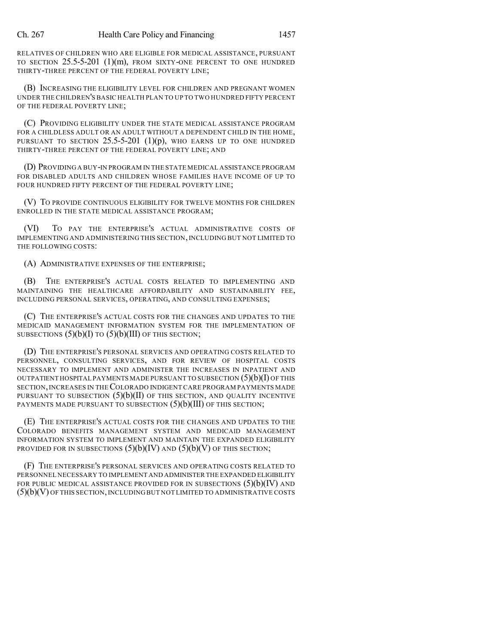RELATIVES OF CHILDREN WHO ARE ELIGIBLE FOR MEDICAL ASSISTANCE, PURSUANT TO SECTION 25.5-5-201 (1)(m), FROM SIXTY-ONE PERCENT TO ONE HUNDRED THIRTY-THREE PERCENT OF THE FEDERAL POVERTY LINE;

(B) INCREASING THE ELIGIBILITY LEVEL FOR CHILDREN AND PREGNANT WOMEN UNDER THE CHILDREN'S BASIC HEALTH PLAN TO UP TO TWO HUNDRED FIFTY PERCENT OF THE FEDERAL POVERTY LINE;

(C) PROVIDING ELIGIBILITY UNDER THE STATE MEDICAL ASSISTANCE PROGRAM FOR A CHILDLESS ADULT OR AN ADULT WITHOUT A DEPENDENT CHILD IN THE HOME, PURSUANT TO SECTION  $25.5$ -5-201 (1)(p), who earns up to one hundred THIRTY-THREE PERCENT OF THE FEDERAL POVERTY LINE; AND

(D) PROVIDING A BUY-IN PROGRAM IN THE STATE MEDICAL ASSISTANCE PROGRAM FOR DISABLED ADULTS AND CHILDREN WHOSE FAMILIES HAVE INCOME OF UP TO FOUR HUNDRED FIFTY PERCENT OF THE FEDERAL POVERTY LINE;

(V) TO PROVIDE CONTINUOUS ELIGIBILITY FOR TWELVE MONTHS FOR CHILDREN ENROLLED IN THE STATE MEDICAL ASSISTANCE PROGRAM;

(VI) TO PAY THE ENTERPRISE'S ACTUAL ADMINISTRATIVE COSTS OF IMPLEMENTING AND ADMINISTERING THIS SECTION, INCLUDING BUT NOT LIMITED TO THE FOLLOWING COSTS:

(A) ADMINISTRATIVE EXPENSES OF THE ENTERPRISE;

(B) THE ENTERPRISE'S ACTUAL COSTS RELATED TO IMPLEMENTING AND MAINTAINING THE HEALTHCARE AFFORDABILITY AND SUSTAINABILITY FEE, INCLUDING PERSONAL SERVICES, OPERATING, AND CONSULTING EXPENSES;

(C) THE ENTERPRISE'S ACTUAL COSTS FOR THE CHANGES AND UPDATES TO THE MEDICAID MANAGEMENT INFORMATION SYSTEM FOR THE IMPLEMENTATION OF SUBSECTIONS  $(5)(b)(I)$  TO  $(5)(b)(III)$  OF THIS SECTION;

(D) THE ENTERPRISE'S PERSONAL SERVICES AND OPERATING COSTS RELATED TO PERSONNEL, CONSULTING SERVICES, AND FOR REVIEW OF HOSPITAL COSTS NECESSARY TO IMPLEMENT AND ADMINISTER THE INCREASES IN INPATIENT AND OUTPATIENT HOSPITAL PAYMENTS MADE PURSUANT TO SUBSECTION  $(5)(b)(I)$  OF THIS SECTION,INCREASES IN THECOLORADO INDIGENT CARE PROGRAM PAYMENTS MADE PURSUANT TO SUBSECTION  $(5)(b)(II)$  OF THIS SECTION, AND QUALITY INCENTIVE PAYMENTS MADE PURSUANT TO SUBSECTION (5)(b)(III) OF THIS SECTION;

(E) THE ENTERPRISE'S ACTUAL COSTS FOR THE CHANGES AND UPDATES TO THE COLORADO BENEFITS MANAGEMENT SYSTEM AND MEDICAID MANAGEMENT INFORMATION SYSTEM TO IMPLEMENT AND MAINTAIN THE EXPANDED ELIGIBILITY PROVIDED FOR IN SUBSECTIONS  $(5)(b)(IV)$  AND  $(5)(b)(V)$  OF THIS SECTION;

(F) THE ENTERPRISE'S PERSONAL SERVICES AND OPERATING COSTS RELATED TO PERSONNEL NECESSARY TO IMPLEMENT AND ADMINISTER THE EXPANDED ELIGIBILITY FOR PUBLIC MEDICAL ASSISTANCE PROVIDED FOR IN SUBSECTIONS  $(5)(b)(IV)$  and (5)(b)(V) OF THIS SECTION,INCLUDING BUT NOT LIMITED TO ADMINISTRATIVE COSTS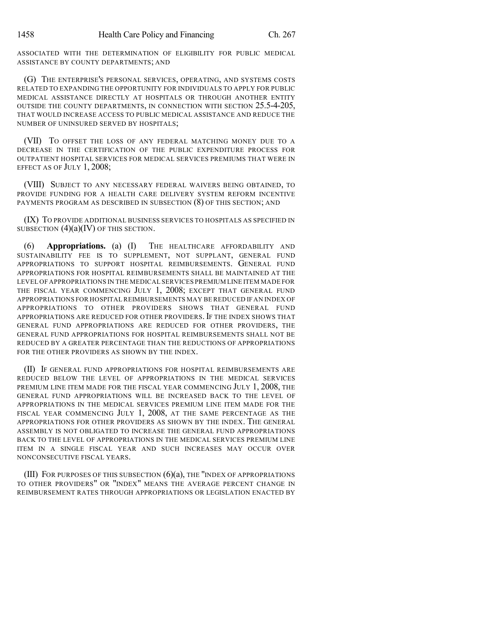ASSOCIATED WITH THE DETERMINATION OF ELIGIBILITY FOR PUBLIC MEDICAL ASSISTANCE BY COUNTY DEPARTMENTS; AND

(G) THE ENTERPRISE'S PERSONAL SERVICES, OPERATING, AND SYSTEMS COSTS RELATED TO EXPANDING THE OPPORTUNITY FOR INDIVIDUALS TO APPLY FOR PUBLIC MEDICAL ASSISTANCE DIRECTLY AT HOSPITALS OR THROUGH ANOTHER ENTITY OUTSIDE THE COUNTY DEPARTMENTS, IN CONNECTION WITH SECTION 25.5-4-205, THAT WOULD INCREASE ACCESS TO PUBLIC MEDICAL ASSISTANCE AND REDUCE THE NUMBER OF UNINSURED SERVED BY HOSPITALS;

(VII) TO OFFSET THE LOSS OF ANY FEDERAL MATCHING MONEY DUE TO A DECREASE IN THE CERTIFICATION OF THE PUBLIC EXPENDITURE PROCESS FOR OUTPATIENT HOSPITAL SERVICES FOR MEDICAL SERVICES PREMIUMS THAT WERE IN EFFECT AS OF JULY 1, 2008;

(VIII) SUBJECT TO ANY NECESSARY FEDERAL WAIVERS BEING OBTAINED, TO PROVIDE FUNDING FOR A HEALTH CARE DELIVERY SYSTEM REFORM INCENTIVE PAYMENTS PROGRAM AS DESCRIBED IN SUBSECTION (8) OF THIS SECTION; AND

(IX) TO PROVIDE ADDITIONAL BUSINESS SERVICES TO HOSPITALS AS SPECIFIED IN SUBSECTION  $(4)(a)(IV)$  OF THIS SECTION.

(6) **Appropriations.** (a) (I) THE HEALTHCARE AFFORDABILITY AND SUSTAINABILITY FEE IS TO SUPPLEMENT, NOT SUPPLANT, GENERAL FUND APPROPRIATIONS TO SUPPORT HOSPITAL REIMBURSEMENTS. GENERAL FUND APPROPRIATIONS FOR HOSPITAL REIMBURSEMENTS SHALL BE MAINTAINED AT THE LEVEL OF APPROPRIATIONS IN THE MEDICAL SERVICES PREMIUM LINE ITEM MADE FOR THE FISCAL YEAR COMMENCING JULY 1, 2008; EXCEPT THAT GENERAL FUND APPROPRIATIONS FOR HOSPITAL REIMBURSEMENTS MAY BE REDUCED IF AN INDEX OF APPROPRIATIONS TO OTHER PROVIDERS SHOWS THAT GENERAL FUND APPROPRIATIONS ARE REDUCED FOR OTHER PROVIDERS. IF THE INDEX SHOWS THAT GENERAL FUND APPROPRIATIONS ARE REDUCED FOR OTHER PROVIDERS, THE GENERAL FUND APPROPRIATIONS FOR HOSPITAL REIMBURSEMENTS SHALL NOT BE REDUCED BY A GREATER PERCENTAGE THAN THE REDUCTIONS OF APPROPRIATIONS FOR THE OTHER PROVIDERS AS SHOWN BY THE INDEX.

(II) IF GENERAL FUND APPROPRIATIONS FOR HOSPITAL REIMBURSEMENTS ARE REDUCED BELOW THE LEVEL OF APPROPRIATIONS IN THE MEDICAL SERVICES PREMIUM LINE ITEM MADE FOR THE FISCAL YEAR COMMENCING JULY 1, 2008, THE GENERAL FUND APPROPRIATIONS WILL BE INCREASED BACK TO THE LEVEL OF APPROPRIATIONS IN THE MEDICAL SERVICES PREMIUM LINE ITEM MADE FOR THE FISCAL YEAR COMMENCING JULY 1, 2008, AT THE SAME PERCENTAGE AS THE APPROPRIATIONS FOR OTHER PROVIDERS AS SHOWN BY THE INDEX. THE GENERAL ASSEMBLY IS NOT OBLIGATED TO INCREASE THE GENERAL FUND APPROPRIATIONS BACK TO THE LEVEL OF APPROPRIATIONS IN THE MEDICAL SERVICES PREMIUM LINE ITEM IN A SINGLE FISCAL YEAR AND SUCH INCREASES MAY OCCUR OVER NONCONSECUTIVE FISCAL YEARS.

(III) FOR PURPOSES OF THIS SUBSECTION  $(6)(a)$ , the "INDEX OF APPROPRIATIONS" TO OTHER PROVIDERS" OR "INDEX" MEANS THE AVERAGE PERCENT CHANGE IN REIMBURSEMENT RATES THROUGH APPROPRIATIONS OR LEGISLATION ENACTED BY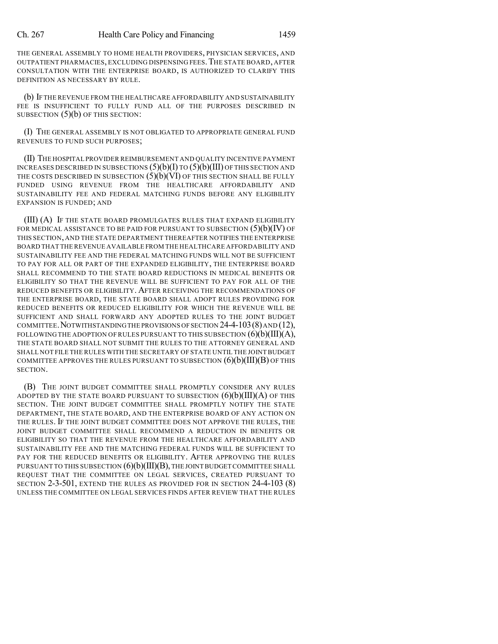THE GENERAL ASSEMBLY TO HOME HEALTH PROVIDERS, PHYSICIAN SERVICES, AND OUTPATIENT PHARMACIES, EXCLUDING DISPENSING FEES.THE STATE BOARD, AFTER CONSULTATION WITH THE ENTERPRISE BOARD, IS AUTHORIZED TO CLARIFY THIS DEFINITION AS NECESSARY BY RULE.

(b) IFTHE REVENUE FROM THE HEALTHCARE AFFORDABILITY AND SUSTAINABILITY FEE IS INSUFFICIENT TO FULLY FUND ALL OF THE PURPOSES DESCRIBED IN SUBSECTION (5)(b) OF THIS SECTION:

(I) THE GENERAL ASSEMBLY IS NOT OBLIGATED TO APPROPRIATE GENERAL FUND REVENUES TO FUND SUCH PURPOSES;

(II) THE HOSPITAL PROVIDER REIMBURSEMENT AND QUALITY INCENTIVE PAYMENT INCREASES DESCRIBED IN SUBSECTIONS  $(5)(b)(I)$  TO  $(5)(b)(III)$  OF THIS SECTION AND THE COSTS DESCRIBED IN SUBSECTION  $(5)(b)(V)$  OF THIS SECTION SHALL BE FULLY FUNDED USING REVENUE FROM THE HEALTHCARE AFFORDABILITY AND SUSTAINABILITY FEE AND FEDERAL MATCHING FUNDS BEFORE ANY ELIGIBILITY EXPANSION IS FUNDED; AND

(III) (A) IF THE STATE BOARD PROMULGATES RULES THAT EXPAND ELIGIBILITY FOR MEDICAL ASSISTANCE TO BE PAID FOR PURSUANT TO SUBSECTION  $(5)(b)(IV)$  OF THIS SECTION, AND THE STATE DEPARTMENT THEREAFTER NOTIFIES THE ENTERPRISE BOARD THAT THE REVENUE AVAILABLE FROM THE HEALTHCARE AFFORDABILITY AND SUSTAINABILITY FEE AND THE FEDERAL MATCHING FUNDS WILL NOT BE SUFFICIENT TO PAY FOR ALL OR PART OF THE EXPANDED ELIGIBILITY, THE ENTERPRISE BOARD SHALL RECOMMEND TO THE STATE BOARD REDUCTIONS IN MEDICAL BENEFITS OR ELIGIBILITY SO THAT THE REVENUE WILL BE SUFFICIENT TO PAY FOR ALL OF THE REDUCED BENEFITS OR ELIGIBILITY. AFTER RECEIVING THE RECOMMENDATIONS OF THE ENTERPRISE BOARD, THE STATE BOARD SHALL ADOPT RULES PROVIDING FOR REDUCED BENEFITS OR REDUCED ELIGIBILITY FOR WHICH THE REVENUE WILL BE SUFFICIENT AND SHALL FORWARD ANY ADOPTED RULES TO THE JOINT BUDGET COMMITTEE.NOTWITHSTANDINGTHE PROVISIONS OFSECTION 24-4-103(8)AND (12), FOLLOWING THE ADOPTION OF RULES PURSUANT TO THIS SUBSECTION  $(6)(b)(III)(A)$ , THE STATE BOARD SHALL NOT SUBMIT THE RULES TO THE ATTORNEY GENERAL AND SHALL NOT FILE THE RULES WITH THE SECRETARY OF STATE UNTIL THE JOINTBUDGET COMMITTEE APPROVES THE RULES PURSUANT TO SUBSECTION  $(6)(b)(III)(B)$  of this SECTION.

(B) THE JOINT BUDGET COMMITTEE SHALL PROMPTLY CONSIDER ANY RULES ADOPTED BY THE STATE BOARD PURSUANT TO SUBSECTION  $(6)(b)(III)(A)$  OF THIS SECTION. THE JOINT BUDGET COMMITTEE SHALL PROMPTLY NOTIFY THE STATE DEPARTMENT, THE STATE BOARD, AND THE ENTERPRISE BOARD OF ANY ACTION ON THE RULES. IF THE JOINT BUDGET COMMITTEE DOES NOT APPROVE THE RULES, THE JOINT BUDGET COMMITTEE SHALL RECOMMEND A REDUCTION IN BENEFITS OR ELIGIBILITY SO THAT THE REVENUE FROM THE HEALTHCARE AFFORDABILITY AND SUSTAINABILITY FEE AND THE MATCHING FEDERAL FUNDS WILL BE SUFFICIENT TO PAY FOR THE REDUCED BENEFITS OR ELIGIBILITY. AFTER APPROVING THE RULES PURSUANT TO THIS SUBSECTION  $(6)(b)(III)(B)$ , THE JOINT BUDGET COMMITTEE SHALL REQUEST THAT THE COMMITTEE ON LEGAL SERVICES, CREATED PURSUANT TO SECTION 2-3-501, EXTEND THE RULES AS PROVIDED FOR IN SECTION 24-4-103 (8) UNLESS THE COMMITTEE ON LEGAL SERVICES FINDS AFTER REVIEW THAT THE RULES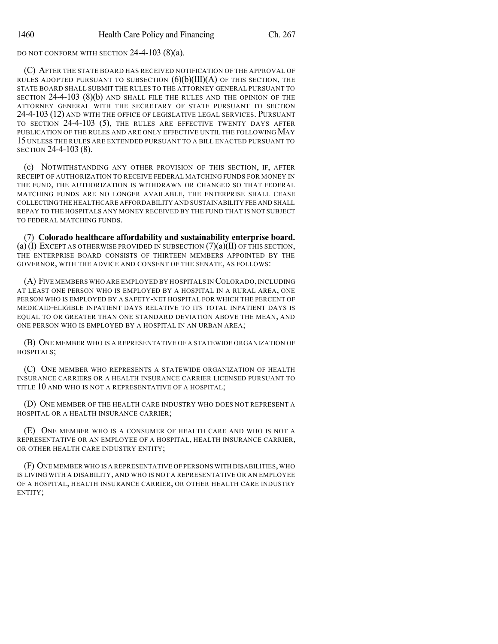DO NOT CONFORM WITH SECTION 24-4-103 (8)(a).

(C) AFTER THE STATE BOARD HAS RECEIVED NOTIFICATION OF THE APPROVAL OF RULES ADOPTED PURSUANT TO SUBSECTION  $(6)(b)(III)(A)$  of this section, the STATE BOARD SHALL SUBMIT THE RULES TO THE ATTORNEY GENERAL PURSUANT TO SECTION 24-4-103 (8)(b) AND SHALL FILE THE RULES AND THE OPINION OF THE ATTORNEY GENERAL WITH THE SECRETARY OF STATE PURSUANT TO SECTION 24-4-103 (12) AND WITH THE OFFICE OF LEGISLATIVE LEGAL SERVICES. PURSUANT TO SECTION 24-4-103 (5), THE RULES ARE EFFECTIVE TWENTY DAYS AFTER PUBLICATION OF THE RULES AND ARE ONLY EFFECTIVE UNTIL THE FOLLOWING MAY 15 UNLESS THE RULES ARE EXTENDED PURSUANT TO A BILL ENACTED PURSUANT TO SECTION 24-4-103 (8).

(c) NOTWITHSTANDING ANY OTHER PROVISION OF THIS SECTION, IF, AFTER RECEIPT OF AUTHORIZATION TO RECEIVE FEDERAL MATCHING FUNDS FOR MONEY IN THE FUND, THE AUTHORIZATION IS WITHDRAWN OR CHANGED SO THAT FEDERAL MATCHING FUNDS ARE NO LONGER AVAILABLE, THE ENTERPRISE SHALL CEASE COLLECTINGTHE HEALTHCARE AFFORDABILITY AND SUSTAINABILITY FEE AND SHALL REPAY TO THE HOSPITALS ANY MONEY RECEIVED BY THE FUND THAT IS NOT SUBJECT TO FEDERAL MATCHING FUNDS.

(7) **Colorado healthcare affordability and sustainability enterprise board.** (a) (I) EXCEPT AS OTHERWISE PROVIDED IN SUBSECTION  $(7)(a)(II)$  OF THIS SECTION, THE ENTERPRISE BOARD CONSISTS OF THIRTEEN MEMBERS APPOINTED BY THE GOVERNOR, WITH THE ADVICE AND CONSENT OF THE SENATE, AS FOLLOWS:

(A) FIVE MEMBERS WHO ARE EMPLOYED BY HOSPITALS IN COLORADO,INCLUDING AT LEAST ONE PERSON WHO IS EMPLOYED BY A HOSPITAL IN A RURAL AREA, ONE PERSON WHO IS EMPLOYED BY A SAFETY-NET HOSPITAL FOR WHICH THE PERCENT OF MEDICAID-ELIGIBLE INPATIENT DAYS RELATIVE TO ITS TOTAL INPATIENT DAYS IS EQUAL TO OR GREATER THAN ONE STANDARD DEVIATION ABOVE THE MEAN, AND ONE PERSON WHO IS EMPLOYED BY A HOSPITAL IN AN URBAN AREA;

(B) ONE MEMBER WHO IS A REPRESENTATIVE OF A STATEWIDE ORGANIZATION OF HOSPITALS;

(C) ONE MEMBER WHO REPRESENTS A STATEWIDE ORGANIZATION OF HEALTH INSURANCE CARRIERS OR A HEALTH INSURANCE CARRIER LICENSED PURSUANT TO TITLE 10 AND WHO IS NOT A REPRESENTATIVE OF A HOSPITAL;

(D) ONE MEMBER OF THE HEALTH CARE INDUSTRY WHO DOES NOT REPRESENT A HOSPITAL OR A HEALTH INSURANCE CARRIER;

(E) ONE MEMBER WHO IS A CONSUMER OF HEALTH CARE AND WHO IS NOT A REPRESENTATIVE OR AN EMPLOYEE OF A HOSPITAL, HEALTH INSURANCE CARRIER, OR OTHER HEALTH CARE INDUSTRY ENTITY;

(F) ONE MEMBER WHO IS A REPRESENTATIVE OF PERSONS WITH DISABILITIES,WHO IS LIVING WITH A DISABILITY, AND WHO IS NOT A REPRESENTATIVE OR AN EMPLOYEE OF A HOSPITAL, HEALTH INSURANCE CARRIER, OR OTHER HEALTH CARE INDUSTRY ENTITY;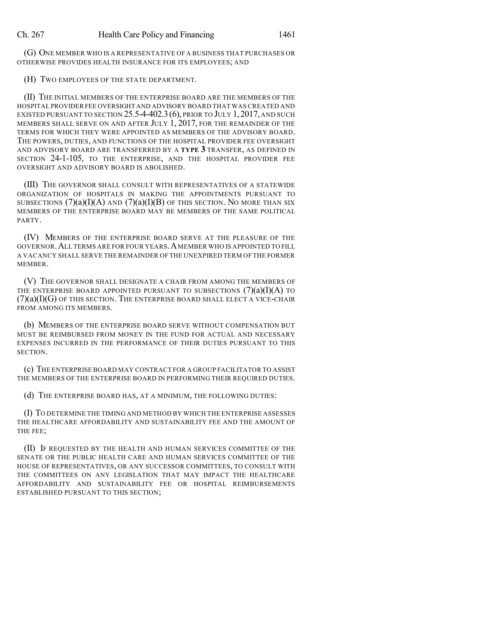(G) ONE MEMBER WHO IS A REPRESENTATIVE OF A BUSINESS THAT PURCHASES OR OTHERWISE PROVIDES HEALTH INSURANCE FOR ITS EMPLOYEES; AND

(H) TWO EMPLOYEES OF THE STATE DEPARTMENT.

(II) THE INITIAL MEMBERS OF THE ENTERPRISE BOARD ARE THE MEMBERS OF THE HOSPITAL PROVIDERFEE OVERSIGHT AND ADVISORY BOARD THAT WAS CREATED AND EXISTED PURSUANT TO SECTION  $25.5-4-402.3$  (6), PRIOR TO JULY 1, 2017, AND SUCH MEMBERS SHALL SERVE ON AND AFTER JULY 1, 2017, FOR THE REMAINDER OF THE TERMS FOR WHICH THEY WERE APPOINTED AS MEMBERS OF THE ADVISORY BOARD. THE POWERS, DUTIES, AND FUNCTIONS OF THE HOSPITAL PROVIDER FEE OVERSIGHT AND ADVISORY BOARD ARE TRANSFERRED BY A **TYPE 3** TRANSFER, AS DEFINED IN SECTION 24-1-105, TO THE ENTERPRISE, AND THE HOSPITAL PROVIDER FEE OVERSIGHT AND ADVISORY BOARD IS ABOLISHED.

(III) THE GOVERNOR SHALL CONSULT WITH REPRESENTATIVES OF A STATEWIDE ORGANIZATION OF HOSPITALS IN MAKING THE APPOINTMENTS PURSUANT TO SUBSECTIONS  $(7)(a)(I)(A)$  and  $(7)(a)(I)(B)$  of this section. No more than six MEMBERS OF THE ENTERPRISE BOARD MAY BE MEMBERS OF THE SAME POLITICAL PARTY.

(IV) MEMBERS OF THE ENTERPRISE BOARD SERVE AT THE PLEASURE OF THE GOVERNOR.ALL TERMS ARE FOR FOUR YEARS.AMEMBER WHO IS APPOINTED TO FILL A VACANCY SHALL SERVE THE REMAINDER OF THE UNEXPIRED TERM OF THE FORMER MEMBER.

(V) THE GOVERNOR SHALL DESIGNATE A CHAIR FROM AMONG THE MEMBERS OF THE ENTERPRISE BOARD APPOINTED PURSUANT TO SUBSECTIONS  $(7)(a)(I)(A)$  to  $(7)(a)(I)(G)$  of this section. The enterprise board shall elect a vice-chair FROM AMONG ITS MEMBERS.

(b) MEMBERS OF THE ENTERPRISE BOARD SERVE WITHOUT COMPENSATION BUT MUST BE REIMBURSED FROM MONEY IN THE FUND FOR ACTUAL AND NECESSARY EXPENSES INCURRED IN THE PERFORMANCE OF THEIR DUTIES PURSUANT TO THIS SECTION.

(c) THE ENTERPRISE BOARD MAY CONTRACT FOR A GROUP FACILITATOR TO ASSIST THE MEMBERS OF THE ENTERPRISE BOARD IN PERFORMING THEIR REQUIRED DUTIES.

(d) THE ENTERPRISE BOARD HAS, AT A MINIMUM, THE FOLLOWING DUTIES:

(I) TO DETERMINE THE TIMING AND METHOD BY WHICH THE ENTERPRISE ASSESSES THE HEALTHCARE AFFORDABILITY AND SUSTAINABILITY FEE AND THE AMOUNT OF THE FEE;

(II) IF REQUESTED BY THE HEALTH AND HUMAN SERVICES COMMITTEE OF THE SENATE OR THE PUBLIC HEALTH CARE AND HUMAN SERVICES COMMITTEE OF THE HOUSE OF REPRESENTATIVES, OR ANY SUCCESSOR COMMITTEES, TO CONSULT WITH THE COMMITTEES ON ANY LEGISLATION THAT MAY IMPACT THE HEALTHCARE AFFORDABILITY AND SUSTAINABILITY FEE OR HOSPITAL REIMBURSEMENTS ESTABLISHED PURSUANT TO THIS SECTION;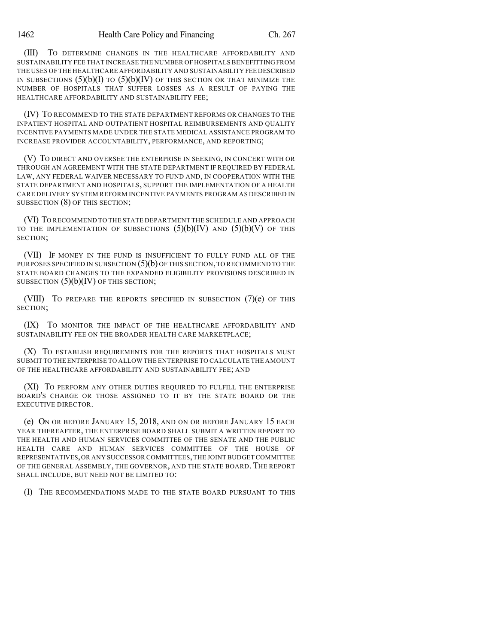(III) TO DETERMINE CHANGES IN THE HEALTHCARE AFFORDABILITY AND SUSTAINABILITY FEE THAT INCREASE THE NUMBER OF HOSPITALS BENEFITTING FROM THE USES OF THE HEALTHCARE AFFORDABILITY AND SUSTAINABILITY FEE DESCRIBED IN SUBSECTIONS  $(5)(b)(I)$  TO  $(5)(b)(IV)$  OF THIS SECTION OR THAT MINIMIZE THE NUMBER OF HOSPITALS THAT SUFFER LOSSES AS A RESULT OF PAYING THE HEALTHCARE AFFORDABILITY AND SUSTAINABILITY FEE;

(IV) TO RECOMMEND TO THE STATE DEPARTMENT REFORMS OR CHANGES TO THE INPATIENT HOSPITAL AND OUTPATIENT HOSPITAL REIMBURSEMENTS AND QUALITY INCENTIVE PAYMENTS MADE UNDER THE STATE MEDICAL ASSISTANCE PROGRAM TO INCREASE PROVIDER ACCOUNTABILITY, PERFORMANCE, AND REPORTING;

(V) TO DIRECT AND OVERSEE THE ENTERPRISE IN SEEKING, IN CONCERT WITH OR THROUGH AN AGREEMENT WITH THE STATE DEPARTMENT IF REQUIRED BY FEDERAL LAW, ANY FEDERAL WAIVER NECESSARY TO FUND AND, IN COOPERATION WITH THE STATE DEPARTMENT AND HOSPITALS, SUPPORT THE IMPLEMENTATION OF A HEALTH CARE DELIVERY SYSTEM REFORM INCENTIVE PAYMENTS PROGRAM AS DESCRIBED IN SUBSECTION (8) OF THIS SECTION;

(VI) TO RECOMMEND TO THE STATE DEPARTMENT THE SCHEDULE AND APPROACH TO THE IMPLEMENTATION OF SUBSECTIONS  $(5)(b)(IV)$  AND  $(5)(b)(V)$  OF THIS SECTION;

(VII) IF MONEY IN THE FUND IS INSUFFICIENT TO FULLY FUND ALL OF THE PURPOSES SPECIFIED IN SUBSECTION  $(5)(b)$  of this section, to recommend to the STATE BOARD CHANGES TO THE EXPANDED ELIGIBILITY PROVISIONS DESCRIBED IN SUBSECTION  $(5)(b)(IV)$  OF THIS SECTION;

(VIII) TO PREPARE THE REPORTS SPECIFIED IN SUBSECTION  $(7)(e)$  of this SECTION;

(IX) TO MONITOR THE IMPACT OF THE HEALTHCARE AFFORDABILITY AND SUSTAINABILITY FEE ON THE BROADER HEALTH CARE MARKETPLACE;

(X) TO ESTABLISH REQUIREMENTS FOR THE REPORTS THAT HOSPITALS MUST SUBMIT TO THE ENTERPRISE TO ALLOW THE ENTERPRISE TO CALCULATE THE AMOUNT OF THE HEALTHCARE AFFORDABILITY AND SUSTAINABILITY FEE; AND

(XI) TO PERFORM ANY OTHER DUTIES REQUIRED TO FULFILL THE ENTERPRISE BOARD'S CHARGE OR THOSE ASSIGNED TO IT BY THE STATE BOARD OR THE EXECUTIVE DIRECTOR.

(e) ON OR BEFORE JANUARY 15, 2018, AND ON OR BEFORE JANUARY 15 EACH YEAR THEREAFTER, THE ENTERPRISE BOARD SHALL SUBMIT A WRITTEN REPORT TO THE HEALTH AND HUMAN SERVICES COMMITTEE OF THE SENATE AND THE PUBLIC HEALTH CARE AND HUMAN SERVICES COMMITTEE OF THE HOUSE OF REPRESENTATIVES,OR ANY SUCCESSOR COMMITTEES,THE JOINT BUDGET COMMITTEE OF THE GENERAL ASSEMBLY, THE GOVERNOR, AND THE STATE BOARD. THE REPORT SHALL INCLUDE, BUT NEED NOT BE LIMITED TO:

(I) THE RECOMMENDATIONS MADE TO THE STATE BOARD PURSUANT TO THIS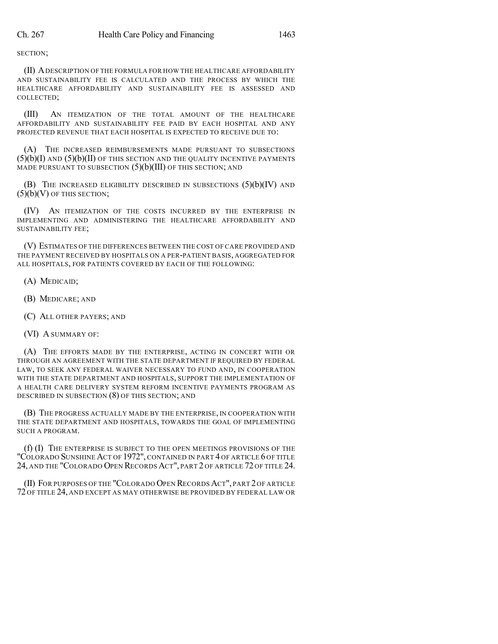SECTION;

(II) ADESCRIPTION OF THE FORMULA FOR HOW THE HEALTHCARE AFFORDABILITY AND SUSTAINABILITY FEE IS CALCULATED AND THE PROCESS BY WHICH THE HEALTHCARE AFFORDABILITY AND SUSTAINABILITY FEE IS ASSESSED AND COLLECTED;

(III) AN ITEMIZATION OF THE TOTAL AMOUNT OF THE HEALTHCARE AFFORDABILITY AND SUSTAINABILITY FEE PAID BY EACH HOSPITAL AND ANY PROJECTED REVENUE THAT EACH HOSPITAL IS EXPECTED TO RECEIVE DUE TO:

(A) THE INCREASED REIMBURSEMENTS MADE PURSUANT TO SUBSECTIONS  $(5)(b)(I)$  and  $(5)(b)(II)$  of this section and the quality incentive payments MADE PURSUANT TO SUBSECTION  $(5)(b)(III)$  OF THIS SECTION; AND

(B) THE INCREASED ELIGIBILITY DESCRIBED IN SUBSECTIONS (5)(b)(IV) AND  $(5)(b)(V)$  OF THIS SECTION;

(IV) AN ITEMIZATION OF THE COSTS INCURRED BY THE ENTERPRISE IN IMPLEMENTING AND ADMINISTERING THE HEALTHCARE AFFORDABILITY AND SUSTAINABILITY FEE;

(V) ESTIMATES OF THE DIFFERENCES BETWEEN THE COST OF CARE PROVIDED AND THE PAYMENT RECEIVED BY HOSPITALS ON A PER-PATIENT BASIS, AGGREGATED FOR ALL HOSPITALS, FOR PATIENTS COVERED BY EACH OF THE FOLLOWING:

(A) MEDICAID;

- (B) MEDICARE; AND
- (C) ALL OTHER PAYERS; AND

(VI) A SUMMARY OF:

(A) THE EFFORTS MADE BY THE ENTERPRISE, ACTING IN CONCERT WITH OR THROUGH AN AGREEMENT WITH THE STATE DEPARTMENT IF REQUIRED BY FEDERAL LAW, TO SEEK ANY FEDERAL WAIVER NECESSARY TO FUND AND, IN COOPERATION WITH THE STATE DEPARTMENT AND HOSPITALS, SUPPORT THE IMPLEMENTATION OF A HEALTH CARE DELIVERY SYSTEM REFORM INCENTIVE PAYMENTS PROGRAM AS DESCRIBED IN SUBSECTION (8) OF THIS SECTION; AND

(B) THE PROGRESS ACTUALLY MADE BY THE ENTERPRISE, IN COOPERATION WITH THE STATE DEPARTMENT AND HOSPITALS, TOWARDS THE GOAL OF IMPLEMENTING SUCH A PROGRAM.

(f) (I) THE ENTERPRISE IS SUBJECT TO THE OPEN MEETINGS PROVISIONS OF THE "COLORADO SUNSHINE ACT OF 1972", CONTAINED IN PART 4 OF ARTICLE 6 OF TITLE 24, AND THE "COLORADO OPEN RECORDS ACT", PART 2 OF ARTICLE 72 OF TITLE 24.

(II) FOR PURPOSES OF THE "COLORADO OPEN RECORDS ACT", PART 2 OF ARTICLE 72 OF TITLE 24, AND EXCEPT AS MAY OTHERWISE BE PROVIDED BY FEDERAL LAW OR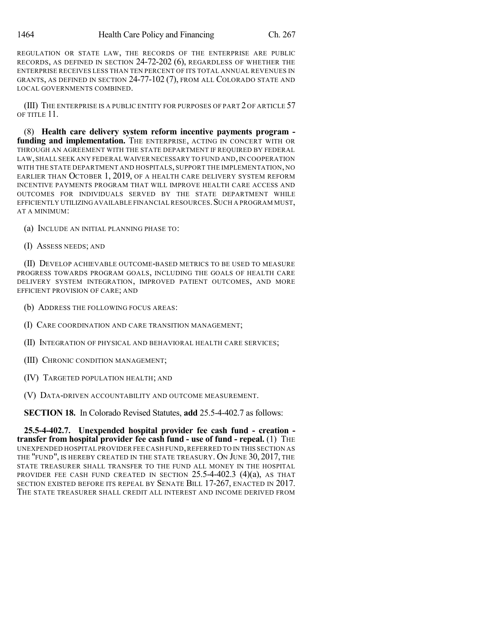REGULATION OR STATE LAW, THE RECORDS OF THE ENTERPRISE ARE PUBLIC RECORDS, AS DEFINED IN SECTION 24-72-202 (6), REGARDLESS OF WHETHER THE ENTERPRISE RECEIVES LESS THAN TEN PERCENT OF ITS TOTAL ANNUAL REVENUES IN GRANTS, AS DEFINED IN SECTION 24-77-102 (7), FROM ALL COLORADO STATE AND LOCAL GOVERNMENTS COMBINED.

(III) THE ENTERPRISE IS A PUBLIC ENTITY FOR PURPOSES OF PART 2 OF ARTICLE 57 OF TITLE 11.

(8) **Health care delivery system reform incentive payments program funding and implementation.** THE ENTERPRISE, ACTING IN CONCERT WITH OR THROUGH AN AGREEMENT WITH THE STATE DEPARTMENT IF REQUIRED BY FEDERAL LAW, SHALL SEEK ANY FEDERAL WAIVER NECESSARY TO FUND AND, IN COOPERATION WITH THE STATE DEPARTMENT AND HOSPITALS, SUPPORT THE IMPLEMENTATION, NO EARLIER THAN OCTOBER 1, 2019, OF A HEALTH CARE DELIVERY SYSTEM REFORM INCENTIVE PAYMENTS PROGRAM THAT WILL IMPROVE HEALTH CARE ACCESS AND OUTCOMES FOR INDIVIDUALS SERVED BY THE STATE DEPARTMENT WHILE EFFICIENTLY UTILIZING AVAILABLE FINANCIAL RESOURCES. SUCH A PROGRAM MUST, AT A MINIMUM:

(a) INCLUDE AN INITIAL PLANNING PHASE TO:

(I) ASSESS NEEDS; AND

(II) DEVELOP ACHIEVABLE OUTCOME-BASED METRICS TO BE USED TO MEASURE PROGRESS TOWARDS PROGRAM GOALS, INCLUDING THE GOALS OF HEALTH CARE DELIVERY SYSTEM INTEGRATION, IMPROVED PATIENT OUTCOMES, AND MORE EFFICIENT PROVISION OF CARE; AND

- (b) ADDRESS THE FOLLOWING FOCUS AREAS:
- (I) CARE COORDINATION AND CARE TRANSITION MANAGEMENT;
- (II) INTEGRATION OF PHYSICAL AND BEHAVIORAL HEALTH CARE SERVICES;
- (III) CHRONIC CONDITION MANAGEMENT;
- (IV) TARGETED POPULATION HEALTH; AND

(V) DATA-DRIVEN ACCOUNTABILITY AND OUTCOME MEASUREMENT.

**SECTION 18.** In Colorado Revised Statutes, **add** 25.5-4-402.7 as follows:

**25.5-4-402.7. Unexpended hospital provider fee cash fund - creation transfer from hospital provider fee cash fund - use of fund - repeal.** (1) THE UNEXPENDED HOSPITAL PROVIDER FEE CASH FUND,REFERRED TO IN THIS SECTION AS THE "FUND", IS HEREBY CREATED IN THE STATE TREASURY. ON JUNE 30, 2017, THE STATE TREASURER SHALL TRANSFER TO THE FUND ALL MONEY IN THE HOSPITAL PROVIDER FEE CASH FUND CREATED IN SECTION 25.5-4-402.3 (4)(a), AS THAT SECTION EXISTED BEFORE ITS REPEAL BY SENATE BILL 17-267, ENACTED IN 2017. THE STATE TREASURER SHALL CREDIT ALL INTEREST AND INCOME DERIVED FROM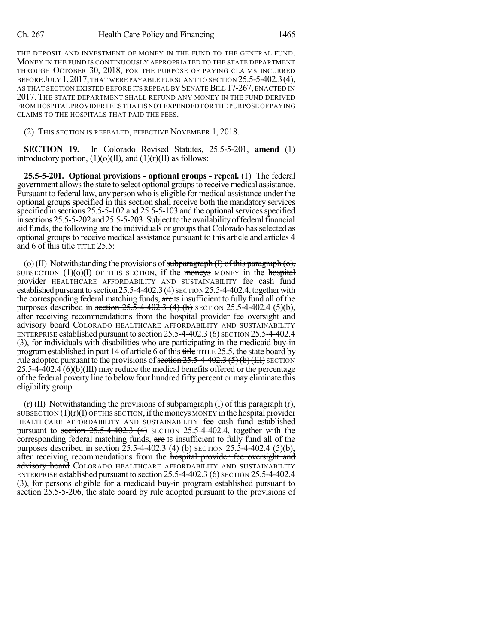#### Ch. 267 Health Care Policy and Financing 1465

THE DEPOSIT AND INVESTMENT OF MONEY IN THE FUND TO THE GENERAL FUND. MONEY IN THE FUND IS CONTINUOUSLY APPROPRIATED TO THE STATE DEPARTMENT THROUGH OCTOBER 30, 2018, FOR THE PURPOSE OF PAYING CLAIMS INCURRED BEFORE JULY 1, 2017, THAT WERE PAYABLE PURSUANT TO SECTION 25.5-5-402.3(4), AS THAT SECTION EXISTED BEFORE ITS REPEAL BY SENATE BILL 17-267, ENACTED IN 2017. THE STATE DEPARTMENT SHALL REFUND ANY MONEY IN THE FUND DERIVED FROM HOSPITAL PROVIDER FEES THAT IS NOT EXPENDED FOR THE PURPOSE OF PAYING CLAIMS TO THE HOSPITALS THAT PAID THE FEES.

(2) THIS SECTION IS REPEALED, EFFECTIVE NOVEMBER 1, 2018.

**SECTION 19.** In Colorado Revised Statutes, 25.5-5-201, **amend** (1) introductory portion,  $(1)(o)(II)$ , and  $(1)(r)(II)$  as follows:

**25.5-5-201. Optional provisions - optional groups - repeal.** (1) The federal government allows the state to select optional groups to receive medical assistance. Pursuant to federal law, any person who is eligible for medical assistance under the optional groups specified in this section shall receive both the mandatory services specified in sections 25.5-5-102 and 25.5-5-103 and the optional services specified in sections 25.5-5-202 and 25.5-5-203. Subject to the availability of federal financial aid funds, the following are the individuals or groups that Colorado has selected as optional groups to receive medical assistance pursuant to this article and articles 4 and 6 of this  $\frac{f}{\text{title}}$  TITLE 25.5:

(o) (II) Notwithstanding the provisions of subparagraph  $(I)$  of this paragraph  $(o)$ , SUBSECTION  $(1)(0)(I)$  OF THIS SECTION, if the moneys MONEY in the hospital provider HEALTHCARE AFFORDABILITY AND SUSTAINABILITY fee cash fund established pursuant to section  $25.5-4-402.3(4)$  SECTION  $25.5-4-402.4$ , together with the corresponding federal matching funds, are IS insufficient to fully fund all of the purposes described in section  $25.\overline{5}$ -4-402.3 (4) (b) SECTION 25.5-4-402.4 (5)(b), after receiving recommendations from the hospital provider fee oversight and advisory board COLORADO HEALTHCARE AFFORDABILITY AND SUSTAINABILITY ENTERPRISE established pursuant to section 25.5-4-402.3 (6) SECTION 25.5-4-402.4 (3), for individuals with disabilities who are participating in the medicaid buy-in program established in part 14 of article 6 of this title TITLE 25.5, the state board by rule adopted pursuant to the provisions of section  $25.5-4-402.3$  (5)(b)(III) SECTION 25.5-4-402.4 (6)(b)(III) may reduce the medical benefits offered or the percentage of the federal poverty line to below four hundred fifty percent or may eliminate this eligibility group.

(r) (II) Notwithstanding the provisions of subparagraph  $(I)$  of this paragraph  $(r)$ , SUBSECTION  $(1)(r)(I)$  OF THIS SECTION, if the moneys MONEY in the hospital provider HEALTHCARE AFFORDABILITY AND SUSTAINABILITY fee cash fund established pursuant to section  $25.5-4-402.3$  (4) SECTION 25.5-4-402.4, together with the corresponding federal matching funds, are is insufficient to fully fund all of the purposes described in section  $25.5-4-402.3$  (4) (b) SECTION 25.5-4-402.4 (5)(b), after receiving recommendations from the hospital provider fee oversight and advisory board COLORADO HEALTHCARE AFFORDABILITY AND SUSTAINABILITY ENTERPRISE established pursuant to section 25.5-4-402.3 (6) SECTION 25.5-4-402.4 (3), for persons eligible for a medicaid buy-in program established pursuant to section 25.5-5-206, the state board by rule adopted pursuant to the provisions of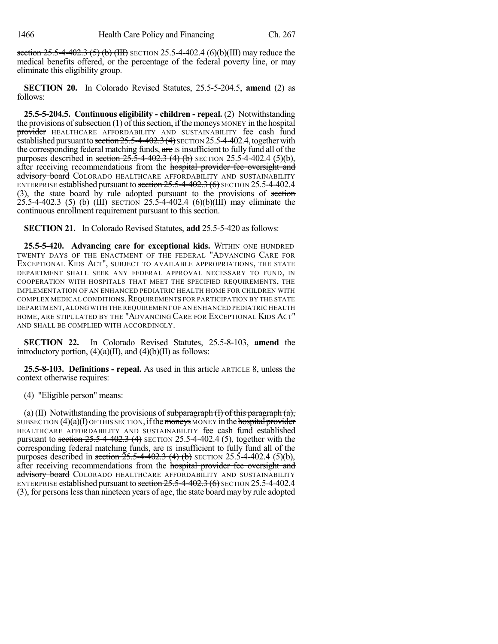section  $25.5-4-402.3$  (5) (b) (III) SECTION 25.5-4-402.4 (6)(b)(III) may reduce the medical benefits offered, or the percentage of the federal poverty line, or may eliminate this eligibility group.

**SECTION 20.** In Colorado Revised Statutes, 25.5-5-204.5, **amend** (2) as follows:

**25.5-5-204.5. Continuous eligibility - children - repeal.** (2) Notwithstanding the provisions of subsection (1) of this section, if the moneys MONEY in the hospital provider HEALTHCARE AFFORDABILITY AND SUSTAINABILITY fee cash fund established pursuant to section  $25.5-4-402.3(4)$  SECTION 25.5-4-402.4, together with the corresponding federal matching funds, are is insufficient to fully fund all of the purposes described in section  $25.\overline{5}$ -4-402.3 (4) (b) SECTION 25.5-4-402.4 (5)(b), after receiving recommendations from the hospital provider fee oversight and advisory board COLORADO HEALTHCARE AFFORDABILITY AND SUSTAINABILITY ENTERPRISE established pursuant to section  $25.5-4-402.3$  (6) SECTION 25.5-4-402.4 (3), the state board by rule adopted pursuant to the provisions of section  $\frac{25.5-4-402.3}{5}$  (5) (b) (III) SECTION 25.5-4-402.4 (6)(b)(III) may eliminate the continuous enrollment requirement pursuant to this section.

**SECTION 21.** In Colorado Revised Statutes, **add** 25.5-5-420 as follows:

**25.5-5-420. Advancing care for exceptional kids.** WITHIN ONE HUNDRED TWENTY DAYS OF THE ENACTMENT OF THE FEDERAL "ADVANCING CARE FOR EXCEPTIONAL KIDS ACT", SUBJECT TO AVAILABLE APPROPRIATIONS, THE STATE DEPARTMENT SHALL SEEK ANY FEDERAL APPROVAL NECESSARY TO FUND, IN COOPERATION WITH HOSPITALS THAT MEET THE SPECIFIED REQUIREMENTS, THE IMPLEMENTATION OF AN ENHANCED PEDIATRIC HEALTH HOME FOR CHILDREN WITH COMPLEX MEDICAL CONDITIONS. REQUIREMENTS FOR PARTICIPATION BY THE STATE DEPARTMENT,ALONG WITH THE REQUIREMENT OF AN ENHANCED PEDIATRIC HEALTH HOME, ARE STIPULATED BY THE "ADVANCING CARE FOR EXCEPTIONAL KIDS ACT" AND SHALL BE COMPLIED WITH ACCORDINGLY.

**SECTION 22.** In Colorado Revised Statutes, 25.5-8-103, **amend** the introductory portion,  $(4)(a)(II)$ , and  $(4)(b)(II)$  as follows:

**25.5-8-103. Definitions - repeal.** As used in this article ARTICLE 8, unless the context otherwise requires:

(4) "Eligible person" means:

(a) (II) Notwithstanding the provisions of subparagraph  $(I)$  of this paragraph  $(a)$ , SUBSECTION  $(4)(a)(I)$  OF THIS SECTION, if the moneys MONEY in the hospital provider HEALTHCARE AFFORDABILITY AND SUSTAINABILITY fee cash fund established pursuant to section  $25.5-4-402.3$  (4) SECTION 25.5-4-402.4 (5), together with the corresponding federal matching funds, are is insufficient to fully fund all of the purposes described in section  $25.5-4-402.3$  (4) (b) SECTION 25.5-4-402.4 (5)(b), after receiving recommendations from the hospital provider fee oversight and advisory board COLORADO HEALTHCARE AFFORDABILITY AND SUSTAINABILITY ENTERPRISE established pursuant to section 25.5-4-402.3 (6) SECTION 25.5-4-402.4 (3), for personslessthan nineteen years of age, the state board may by rule adopted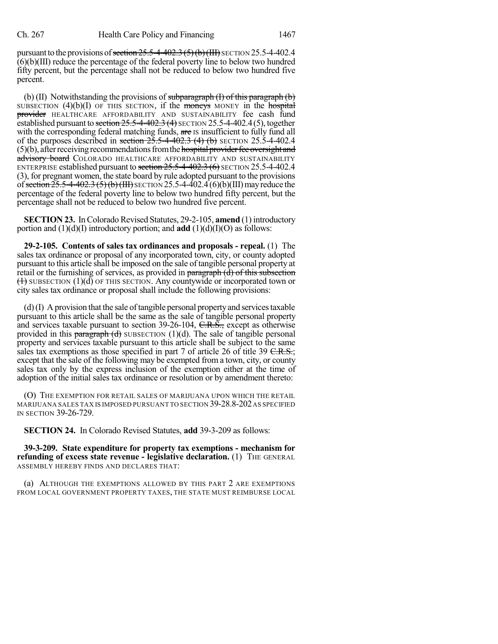pursuant to the provisions of section  $25.5-4-402.3$  (5)(b)(III) SECTION 25.5-4-402.4  $(6)(b)(III)$  reduce the percentage of the federal poverty line to below two hundred fifty percent, but the percentage shall not be reduced to below two hundred five percent.

(b) (II) Notwithstanding the provisions of subparagraph  $(I)$  of this paragraph  $(b)$ SUBSECTION  $(4)(b)(I)$  OF THIS SECTION, if the moneys MONEY in the hospital provider HEALTHCARE AFFORDABILITY AND SUSTAINABILITY fee cash fund established pursuant to section  $25.5-4-402.3$  (4) SECTION 25.5-4-402.4(5), together with the corresponding federal matching funds, are IS insufficient to fully fund all of the purposes described in section  $25.5-4-402.3$  (4) (b) SECTION 25.5-4-402.4  $(5)(b)$ , after receiving recommendations from the hospital provider fee oversight and advisory board COLORADO HEALTHCARE AFFORDABILITY AND SUSTAINABILITY ENTERPRISE established pursuant to section  $25.5-4-402.3$  (6) SECTION 25.5-4-402.4 (3), for pregnant women, the state board by rule adopted pursuant to the provisions of section  $25.5-4-402.3$  (5) (b) (III) SECTION 25.5-4-402.4 (6)(b)(III) may reduce the percentage of the federal poverty line to below two hundred fifty percent, but the percentage shall not be reduced to below two hundred five percent.

**SECTION 23.** In Colorado Revised Statutes, 29-2-105, **amend** (1) introductory portion and  $(1)(d)(I)$  introductory portion; and **add**  $(1)(d)(I)(O)$  as follows:

**29-2-105. Contents of sales tax ordinances and proposals - repeal.** (1) The sales tax ordinance or proposal of any incorporated town, city, or county adopted pursuant to this article shall be imposed on the sale of tangible personal property at retail or the furnishing of services, as provided in paragraph (d) of this subsection  $(1)$  SUBSECTION  $(1)(d)$  OF THIS SECTION. Any countywide or incorporated town or city sales tax ordinance or proposal shall include the following provisions:

 $(d)$  (I) A provision that the sale of tangible personal property and services taxable pursuant to this article shall be the same as the sale of tangible personal property and services taxable pursuant to section 39-26-104, C.R.S., except as otherwise provided in this paragraph  $(d)$  SUBSECTION (1)(d). The sale of tangible personal property and services taxable pursuant to this article shall be subject to the same sales tax exemptions as those specified in part 7 of article 26 of title 39  $C.R.S.$ ; except that the sale of the following may be exempted from a town, city, or county sales tax only by the express inclusion of the exemption either at the time of adoption of the initial sales tax ordinance or resolution or by amendment thereto:

(O) THE EXEMPTION FOR RETAIL SALES OF MARIJUANA UPON WHICH THE RETAIL MARIJUANA SALES TAX IS IMPOSED PURSUANT TO SECTION 39-28.8-202AS SPECIFIED IN SECTION 39-26-729.

**SECTION 24.** In Colorado Revised Statutes, **add** 39-3-209 as follows:

**39-3-209. State expenditure for property tax exemptions - mechanism for refunding of excess state revenue - legislative declaration.** (1) THE GENERAL ASSEMBLY HEREBY FINDS AND DECLARES THAT:

(a) ALTHOUGH THE EXEMPTIONS ALLOWED BY THIS PART 2 ARE EXEMPTIONS FROM LOCAL GOVERNMENT PROPERTY TAXES, THE STATE MUST REIMBURSE LOCAL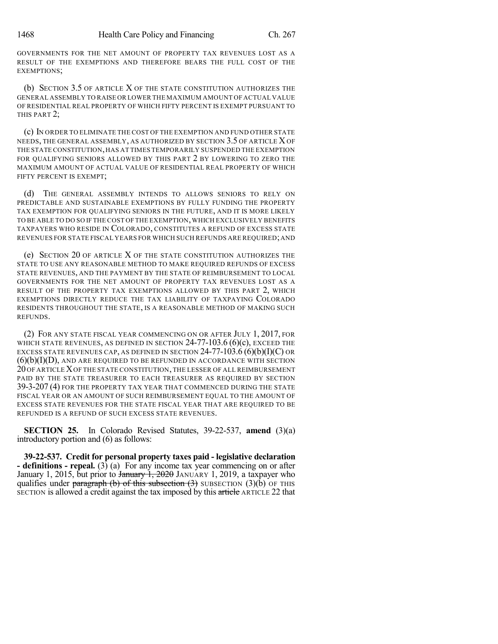GOVERNMENTS FOR THE NET AMOUNT OF PROPERTY TAX REVENUES LOST AS A RESULT OF THE EXEMPTIONS AND THEREFORE BEARS THE FULL COST OF THE EXEMPTIONS;

(b) SECTION 3.5 OF ARTICLE X OF THE STATE CONSTITUTION AUTHORIZES THE GENERAL ASSEMBLY TO RAISE OR LOWER THE MAXIMUM AMOUNT OF ACTUAL VALUE OF RESIDENTIAL REAL PROPERTY OF WHICH FIFTY PERCENT IS EXEMPT PURSUANT TO THIS PART 2;

(c) IN ORDER TO ELIMINATE THE COST OF THE EXEMPTION AND FUND OTHER STATE NEEDS, THE GENERAL ASSEMBLY, AS AUTHORIZED BY SECTION 3.5 OF ARTICLE XOF THE STATE CONSTITUTION,HAS AT TIMES TEMPORARILY SUSPENDED THE EXEMPTION FOR QUALIFYING SENIORS ALLOWED BY THIS PART 2 BY LOWERING TO ZERO THE MAXIMUM AMOUNT OF ACTUAL VALUE OF RESIDENTIAL REAL PROPERTY OF WHICH FIFTY PERCENT IS EXEMPT;

(d) THE GENERAL ASSEMBLY INTENDS TO ALLOWS SENIORS TO RELY ON PREDICTABLE AND SUSTAINABLE EXEMPTIONS BY FULLY FUNDING THE PROPERTY TAX EXEMPTION FOR QUALIFYING SENIORS IN THE FUTURE, AND IT IS MORE LIKELY TO BE ABLE TO DO SO IF THE COST OF THE EXEMPTION,WHICH EXCLUSIVELY BENEFITS TAXPAYERS WHO RESIDE IN COLORADO, CONSTITUTES A REFUND OF EXCESS STATE REVENUES FOR STATE FISCAL YEARS FOR WHICH SUCH REFUNDS ARE REQUIRED;AND

(e) SECTION 20 OF ARTICLE X OF THE STATE CONSTITUTION AUTHORIZES THE STATE TO USE ANY REASONABLE METHOD TO MAKE REQUIRED REFUNDS OF EXCESS STATE REVENUES, AND THE PAYMENT BY THE STATE OF REIMBURSEMENT TO LOCAL GOVERNMENTS FOR THE NET AMOUNT OF PROPERTY TAX REVENUES LOST AS A RESULT OF THE PROPERTY TAX EXEMPTIONS ALLOWED BY THIS PART 2, WHICH EXEMPTIONS DIRECTLY REDUCE THE TAX LIABILITY OF TAXPAYING COLORADO RESIDENTS THROUGHOUT THE STATE, IS A REASONABLE METHOD OF MAKING SUCH REFUNDS.

(2) FOR ANY STATE FISCAL YEAR COMMENCING ON OR AFTER JULY 1, 2017, FOR WHICH STATE REVENUES, AS DEFINED IN SECTION  $24-77-103.6$  (6)(c), EXCEED THE EXCESS STATE REVENUES CAP, AS DEFINED IN SECTION  $24-77-103.6$  (6)(b)(I)(C) OR  $(6)(b)(I)(D)$ , AND ARE REQUIRED TO BE REFUNDED IN ACCORDANCE WITH SECTION 20 OF ARTICLEXOF THE STATE CONSTITUTION, THE LESSER OF ALL REIMBURSEMENT PAID BY THE STATE TREASURER TO EACH TREASURER AS REQUIRED BY SECTION 39-3-207 (4) FOR THE PROPERTY TAX YEAR THAT COMMENCED DURING THE STATE FISCAL YEAR OR AN AMOUNT OF SUCH REIMBURSEMENT EQUAL TO THE AMOUNT OF EXCESS STATE REVENUES FOR THE STATE FISCAL YEAR THAT ARE REQUIRED TO BE REFUNDED IS A REFUND OF SUCH EXCESS STATE REVENUES.

**SECTION 25.** In Colorado Revised Statutes, 39-22-537, **amend** (3)(a) introductory portion and (6) as follows:

**39-22-537. Credit for personal property taxes paid - legislative declaration - definitions - repeal.** (3) (a) For any income tax year commencing on or after January 1, 2015, but prior to January 1, 2020 JANUARY 1, 2019, a taxpayer who qualifies under paragraph (b) of this subsection  $(3)$  SUBSECTION  $(3)(\overline{b})$  OF THIS SECTION is allowed a credit against the tax imposed by this article ARTICLE 22 that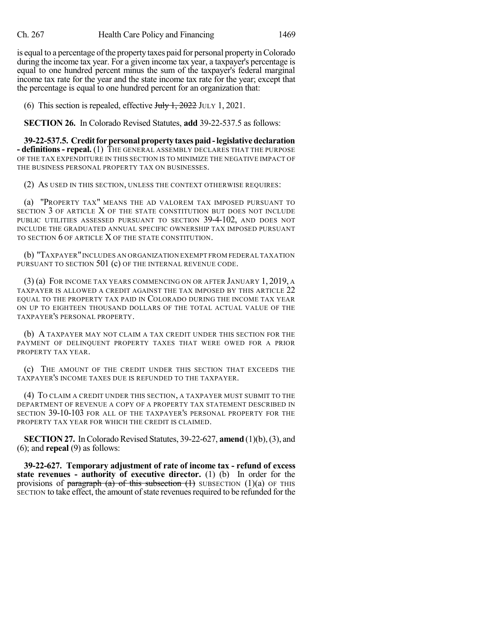is equal to a percentage of the property taxes paid for personal property in Colorado during the income tax year. For a given income tax year, a taxpayer's percentage is equal to one hundred percent minus the sum of the taxpayer's federal marginal income tax rate for the year and the state income tax rate for the year; except that the percentage is equal to one hundred percent for an organization that:

(6) This section is repealed, effective  $J_{\text{t}}J_{\text{t}}$ ,  $\frac{1}{2022}$  JULY 1, 2021.

**SECTION 26.** In Colorado Revised Statutes, **add** 39-22-537.5 as follows:

**39-22-537.5. Creditforpersonal property taxespaid-legislativedeclaration - definitions- repeal.** (1) THE GENERAL ASSEMBLY DECLARES THAT THE PURPOSE OF THE TAX EXPENDITURE IN THIS SECTION IS TO MINIMIZE THE NEGATIVE IMPACT OF THE BUSINESS PERSONAL PROPERTY TAX ON BUSINESSES.

(2) AS USED IN THIS SECTION, UNLESS THE CONTEXT OTHERWISE REQUIRES:

(a) "PROPERTY TAX" MEANS THE AD VALOREM TAX IMPOSED PURSUANT TO SECTION 3 OF ARTICLE X OF THE STATE CONSTITUTION BUT DOES NOT INCLUDE PUBLIC UTILITIES ASSESSED PURSUANT TO SECTION 39-4-102, AND DOES NOT INCLUDE THE GRADUATED ANNUAL SPECIFIC OWNERSHIP TAX IMPOSED PURSUANT TO SECTION 6 OF ARTICLE X OF THE STATE CONSTITUTION.

(b) "TAXPAYER"INCLUDES AN ORGANIZATION EXEMPT FROM FEDERAL TAXATION PURSUANT TO SECTION 501 (c) OF THE INTERNAL REVENUE CODE.

(3) (a) FOR INCOME TAX YEARS COMMENCING ON OR AFTER JANUARY 1, 2019, A TAXPAYER IS ALLOWED A CREDIT AGAINST THE TAX IMPOSED BY THIS ARTICLE 22 EQUAL TO THE PROPERTY TAX PAID IN COLORADO DURING THE INCOME TAX YEAR ON UP TO EIGHTEEN THOUSAND DOLLARS OF THE TOTAL ACTUAL VALUE OF THE TAXPAYER'S PERSONAL PROPERTY.

(b) A TAXPAYER MAY NOT CLAIM A TAX CREDIT UNDER THIS SECTION FOR THE PAYMENT OF DELINQUENT PROPERTY TAXES THAT WERE OWED FOR A PRIOR PROPERTY TAX YEAR.

(c) THE AMOUNT OF THE CREDIT UNDER THIS SECTION THAT EXCEEDS THE TAXPAYER'S INCOME TAXES DUE IS REFUNDED TO THE TAXPAYER.

(4) TO CLAIM A CREDIT UNDER THIS SECTION, A TAXPAYER MUST SUBMIT TO THE DEPARTMENT OF REVENUE A COPY OF A PROPERTY TAX STATEMENT DESCRIBED IN SECTION 39-10-103 FOR ALL OF THE TAXPAYER'S PERSONAL PROPERTY FOR THE PROPERTY TAX YEAR FOR WHICH THE CREDIT IS CLAIMED.

**SECTION 27.** In Colorado Revised Statutes, 39-22-627, **amend** (1)(b), (3), and (6); and **repeal** (9) as follows:

**39-22-627. Temporary adjustment of rate of income tax - refund of excess state revenues - authority of executive director.** (1) (b) In order for the provisions of paragraph (a) of this subsection  $(1)$  SUBSECTION  $(1)(a)$  OF THIS SECTION to take effect, the amount of state revenues required to be refunded for the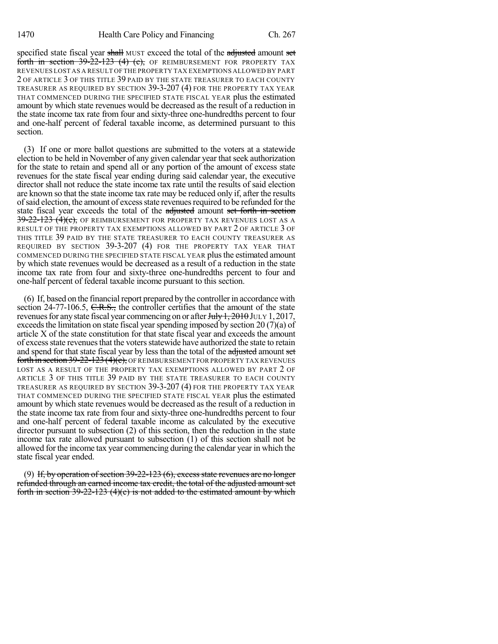specified state fiscal year shall MUST exceed the total of the adjusted amount set forth in section  $39-22-123$  (4) (c), OF REIMBURSEMENT FOR PROPERTY TAX REVENUES LOST AS A RESULT OF THE PROPERTY TAX EXEMPTIONS ALLOWED BY PART 2 OF ARTICLE 3 OF THIS TITLE 39 PAID BY THE STATE TREASURER TO EACH COUNTY TREASURER AS REQUIRED BY SECTION 39-3-207 (4) FOR THE PROPERTY TAX YEAR THAT COMMENCED DURING THE SPECIFIED STATE FISCAL YEAR plus the estimated amount by which state revenues would be decreased as the result of a reduction in the state income tax rate from four and sixty-three one-hundredths percent to four and one-half percent of federal taxable income, as determined pursuant to this section.

(3) If one or more ballot questions are submitted to the voters at a statewide election to be held in November of any given calendar year that seek authorization for the state to retain and spend all or any portion of the amount of excess state revenues for the state fiscal year ending during said calendar year, the executive director shall not reduce the state income tax rate until the results of said election are known so that the state income tax rate may be reduced only if, after the results of said election, the amount of excess state revenues required to be refunded for the state fiscal year exceeds the total of the adjusted amount set forth in section  $39-22-123$   $(4)(c)$ , OF REIMBURSEMENT FOR PROPERTY TAX REVENUES LOST AS A RESULT OF THE PROPERTY TAX EXEMPTIONS ALLOWED BY PART 2 OF ARTICLE 3 OF THIS TITLE 39 PAID BY THE STATE TREASURER TO EACH COUNTY TREASURER AS REQUIRED BY SECTION 39-3-207 (4) FOR THE PROPERTY TAX YEAR THAT COMMENCED DURING THE SPECIFIED STATE FISCAL YEAR plusthe estimated amount by which state revenues would be decreased as a result of a reduction in the state income tax rate from four and sixty-three one-hundredths percent to four and one-half percent of federal taxable income pursuant to this section.

(6) If, based on the financial report prepared by the controller in accordance with section 24-77-106.5, C.R.S., the controller certifies that the amount of the state revenues for any state fiscal year commencing on or after  $J_{\text{t}}/1$ ,  $2010$  JULY 1, 2017, exceeds the limitation on state fiscal year spending imposed by section  $20(7)(a)$  of article X of the state constitution for that state fiscal year and exceeds the amount of excessstate revenuesthat the votersstatewide have authorized the state to retain and spend for that state fiscal year by less than the total of the adjusted amount set forth in section 39-22-123 (4)(c), OF REIMBURSEMENT FOR PROPERTY TAX REVENUES LOST AS A RESULT OF THE PROPERTY TAX EXEMPTIONS ALLOWED BY PART 2 OF ARTICLE 3 OF THIS TITLE 39 PAID BY THE STATE TREASURER TO EACH COUNTY TREASURER AS REQUIRED BY SECTION 39-3-207 (4) FOR THE PROPERTY TAX YEAR THAT COMMENCED DURING THE SPECIFIED STATE FISCAL YEAR plus the estimated amount by which state revenues would be decreased as the result of a reduction in the state income tax rate from four and sixty-three one-hundredths percent to four and one-half percent of federal taxable income as calculated by the executive director pursuant to subsection (2) of this section, then the reduction in the state income tax rate allowed pursuant to subsection (1) of this section shall not be allowed for the income tax year commencing during the calendar year in which the state fiscal year ended.

(9) If, by operation of section 39-22-123 (6), excess state revenues are no longer refunded through an earned income tax credit, the total of the adjusted amount set forth in section  $39-22-123$  (4)(c) is not added to the estimated amount by which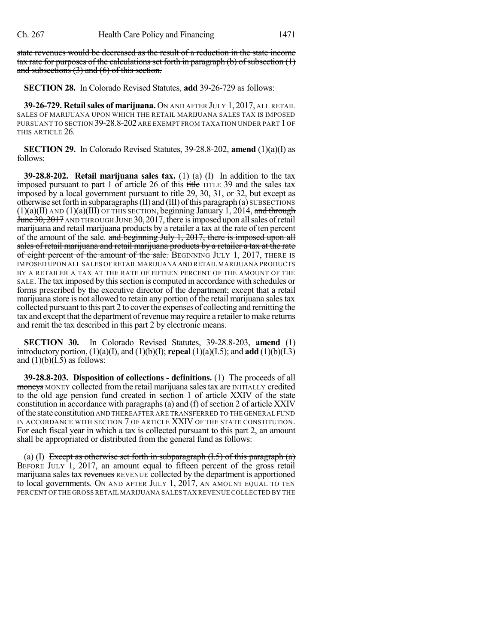state revenues would be decreased as the result of a reduction in the state income tax rate for purposes of the calculations set forth in paragraph  $(b)$  of subsection  $(1)$ and subsections (3) and (6) of this section.

**SECTION 28.** In Colorado Revised Statutes, **add** 39-26-729 as follows:

**39-26-729. Retailsales of marijuana.** ON AND AFTER JULY 1, 2017, ALL RETAIL SALES OF MARIJUANA UPON WHICH THE RETAIL MARIJUANA SALES TAX IS IMPOSED PURSUANT TO SECTION 39-28.8-202 ARE EXEMPT FROM TAXATION UNDER PART 1 OF THIS ARTICLE 26.

**SECTION 29.** In Colorado Revised Statutes, 39-28.8-202, **amend** (1)(a)(I) as follows:

**39-28.8-202. Retail marijuana sales tax.** (1) (a) (I) In addition to the tax imposed pursuant to part 1 of article 26 of this title TITLE 39 and the sales tax imposed by a local government pursuant to title 29, 30, 31, or 32, but except as otherwise set forth in subparagraphs  $(H)$  and  $(H)$  of this paragraph  $(a)$  SUBSECTIONS  $(1)(a)(II)$  AND  $(1)(a)(III)$  OF THIS SECTION, beginning January 1, 2014, and through June 30, 2017 AND THROUGH JUNE 30, 2017, there is imposed upon all sales of retail marijuana and retail marijuana products by a retailer a tax at the rate of ten percent of the amount of the sale. and beginning July 1, 2017, there is imposed upon all sales of retail marijuana and retail marijuana products by a retailer a tax at the rate of eight percent of the amount of the sale. BEGINNING JULY 1, 2017, THERE IS IMPOSED UPON ALL SALES OF RETAIL MARIJUANA AND RETAIL MARIJUANA PRODUCTS BY A RETAILER A TAX AT THE RATE OF FIFTEEN PERCENT OF THE AMOUNT OF THE SALE. The tax imposed by this section is computed in accordance with schedules or forms prescribed by the executive director of the department; except that a retail marijuana store is not allowed to retain any portion of the retail marijuana salestax collected pursuant to this part 2 to cover the expenses of collecting and remitting the tax and except that the department ofrevenue may require a retailer to make returns and remit the tax described in this part 2 by electronic means.

**SECTION 30.** In Colorado Revised Statutes, 39-28.8-203, **amend** (1) introductory portion, (1)(a)(I), and (1)(b)(I); **repeal** (1)(a)(I.5); and **add** (1)(b)(I.3) and  $(1)(b)(I.5)$  as follows:

**39-28.8-203. Disposition of collections - definitions.** (1) The proceeds of all moneys MONEY collected from the retail marijuana sales tax are INITIALLY credited to the old age pension fund created in section 1 of article XXIV of the state constitution in accordance with paragraphs $(a)$  and  $(f)$  of section 2 of article XXIV ofthe state constitution AND THEREAFTER ARE TRANSFERRED TO THE GENERAL FUND IN ACCORDANCE WITH SECTION 7 OF ARTICLE XXIV OF THE STATE CONSTITUTION. For each fiscal year in which a tax is collected pursuant to this part 2, an amount shall be appropriated or distributed from the general fund as follows:

(a) (I) Except as otherwise set forth in subparagraph  $(1.5)$  of this paragraph  $(a)$ BEFORE JULY 1, 2017, an amount equal to fifteen percent of the gross retail marijuana sales tax revenues REVENUE collected by the department is apportioned to local governments. ON AND AFTER JULY 1, 2017, AN AMOUNT EQUAL TO TEN PERCENT OF THE GROSS RETAIL MARIJUANA SALES TAX REVENUE COLLECTED BY THE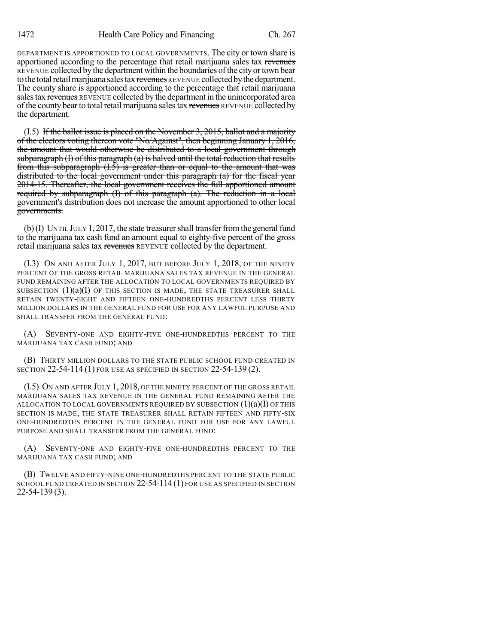DEPARTMENT IS APPORTIONED TO LOCAL GOVERNMENTS. The city or town share is apportioned according to the percentage that retail marijuana sales tax revenues REVENUE collected bythe department within the boundaries ofthe city ortown bear to the total retail marijuana sales tax revenues REVENUE collected by the department. The county share is apportioned according to the percentage that retail marijuana sales tax revenues REVENUE collected by the department in the unincorporated area of the county bear to total retail marijuana sales tax revenues REVENUE collected by the department.

 $(1.5)$  If the ballot issue is placed on the November 3, 2015, ballot and a majority of the electors voting thereon vote "No/Against", then beginning January 1, 2016, the amount that would otherwise be distributed to a local government through subparagraph  $(I)$  of this paragraph  $(a)$  is halved until the total reduction that results from this subparagraph  $(I.\bar{5})$  is greater than or equal to the amount that was distributed to the local government under this paragraph (a) for the fiscal year 2014-15. Thereafter, the local government receives the full apportioned amount required by subparagraph (I) of this paragraph (a). The reduction in a local government's distribution does not increase the amount apportioned to other local governments.

 $(b)$ (I) UNTIL JULY 1, 2017, the state treasurer shall transfer from the general fund to the marijuana tax cash fund an amount equal to eighty-five percent of the gross retail marijuana sales tax revenues REVENUE collected by the department.

(I.3) ON AND AFTER JULY 1, 2017, BUT BEFORE JULY 1, 2018, OF THE NINETY PERCENT OF THE GROSS RETAIL MARIJUANA SALES TAX REVENUE IN THE GENERAL FUND REMAINING AFTER THE ALLOCATION TO LOCAL GOVERNMENTS REQUIRED BY SUBSECTION  $(1)(a)(I)$  OF THIS SECTION IS MADE, THE STATE TREASURER SHALL RETAIN TWENTY-EIGHT AND FIFTEEN ONE-HUNDREDTHS PERCENT LESS THIRTY MILLION DOLLARS IN THE GENERAL FUND FOR USE FOR ANY LAWFUL PURPOSE AND SHALL TRANSFER FROM THE GENERAL FUND:

(A) SEVENTY-ONE AND EIGHTY-FIVE ONE-HUNDREDTHS PERCENT TO THE MARIJUANA TAX CASH FUND; AND

(B) THIRTY MILLION DOLLARS TO THE STATE PUBLIC SCHOOL FUND CREATED IN SECTION 22-54-114 (1) FOR USE AS SPECIFIED IN SECTION 22-54-139 (2).

(I.5) ON AND AFTER JULY 1, 2018, OF THE NINETY PERCENT OF THE GROSS RETAIL MARIJUANA SALES TAX REVENUE IN THE GENERAL FUND REMAINING AFTER THE ALLOCATION TO LOCAL GOVERNMENTS REQUIRED BY SUBSECTION  $(1)(a)(I)$  OF THIS SECTION IS MADE, THE STATE TREASURER SHALL RETAIN FIFTEEN AND FIFTY-SIX ONE-HUNDREDTHS PERCENT IN THE GENERAL FUND FOR USE FOR ANY LAWFUL PURPOSE AND SHALL TRANSFER FROM THE GENERAL FUND:

(A) SEVENTY-ONE AND EIGHTY-FIVE ONE-HUNDREDTHS PERCENT TO THE MARIJUANA TAX CASH FUND; AND

(B) TWELVE AND FIFTY-NINE ONE-HUNDREDTHS PERCENT TO THE STATE PUBLIC SCHOOL FUND CREATED IN SECTION 22-54-114 (1) FOR USE AS SPECIFIED IN SECTION 22-54-139 (3).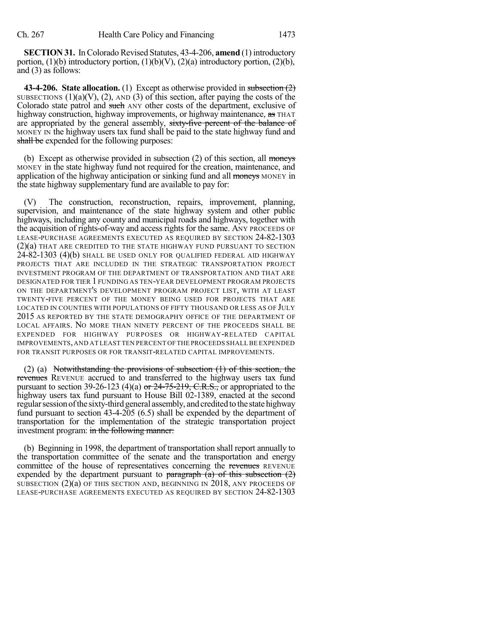**SECTION 31.** In Colorado Revised Statutes, 43-4-206, **amend** (1) introductory portion,  $(1)(b)$  introductory portion,  $(1)(b)(V)$ ,  $(2)(a)$  introductory portion,  $(2)(b)$ , and (3) as follows:

**43-4-206. State allocation.** (1) Except as otherwise provided in subsection (2) SUBSECTIONS  $(1)(a)(V)$ ,  $(2)$ , AND  $(3)$  of this section, after paying the costs of the Colorado state patrol and such ANY other costs of the department, exclusive of highway construction, highway improvements, or highway maintenance, as THAT are appropriated by the general assembly, sixty-five percent of the balance of MONEY IN the highway users tax fund shall be paid to the state highway fund and shall be expended for the following purposes:

(b) Except as otherwise provided in subsection  $(2)$  of this section, all moneys MONEY in the state highway fund not required for the creation, maintenance, and application of the highway anticipation or sinking fund and all moneys MONEY in the state highway supplementary fund are available to pay for:

(V) The construction, reconstruction, repairs, improvement, planning, supervision, and maintenance of the state highway system and other public highways, including any county and municipal roads and highways, together with the acquisition of rights-of-way and access rights for the same. ANY PROCEEDS OF LEASE-PURCHASE AGREEMENTS EXECUTED AS REQUIRED BY SECTION 24-82-1303 (2)(a) THAT ARE CREDITED TO THE STATE HIGHWAY FUND PURSUANT TO SECTION 24-82-1303 (4)(b) SHALL BE USED ONLY FOR QUALIFIED FEDERAL AID HIGHWAY PROJECTS THAT ARE INCLUDED IN THE STRATEGIC TRANSPORTATION PROJECT INVESTMENT PROGRAM OF THE DEPARTMENT OF TRANSPORTATION AND THAT ARE DESIGNATED FOR TIER 1 FUNDING AS TEN-YEAR DEVELOPMENT PROGRAM PROJECTS ON THE DEPARTMENT'S DEVELOPMENT PROGRAM PROJECT LIST, WITH AT LEAST TWENTY-FIVE PERCENT OF THE MONEY BEING USED FOR PROJECTS THAT ARE LOCATED IN COUNTIES WITH POPULATIONS OF FIFTY THOUSAND OR LESS AS OF JULY 2015 AS REPORTED BY THE STATE DEMOGRAPHY OFFICE OF THE DEPARTMENT OF LOCAL AFFAIRS. NO MORE THAN NINETY PERCENT OF THE PROCEEDS SHALL BE EXPENDED FOR HIGHWAY PURPOSES OR HIGHWAY-RELATED CAPITAL IMPROVEMENTS,AND AT LEAST TEN PERCENT OF THE PROCEEDS SHALL BE EXPENDED FOR TRANSIT PURPOSES OR FOR TRANSIT-RELATED CAPITAL IMPROVEMENTS.

(2) (a) Notwithstanding the provisions of subsection (1) of this section, the revenues REVENUE accrued to and transferred to the highway users tax fund pursuant to section 39-26-123 (4)(a) or  $24$ -75-219, C.R.S., or appropriated to the highway users tax fund pursuant to House Bill 02-1389, enacted at the second regular session of the sixty-third general assembly, and credited to the state highway fund pursuant to section 43-4-205 (6.5) shall be expended by the department of transportation for the implementation of the strategic transportation project investment program: in the following manner:

(b) Beginning in 1998, the department of transportation shall report annually to the transportation committee of the senate and the transportation and energy committee of the house of representatives concerning the revenues REVENUE expended by the department pursuant to  $\frac{\text{parameter of}}{\text{mean}}$  (a) of this subsection (2) SUBSECTION (2)(a) OF THIS SECTION AND, BEGINNING IN 2018, ANY PROCEEDS OF LEASE-PURCHASE AGREEMENTS EXECUTED AS REQUIRED BY SECTION 24-82-1303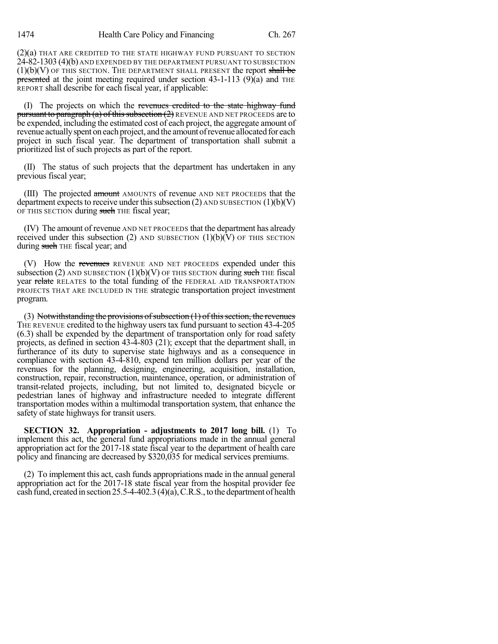(2)(a) THAT ARE CREDITED TO THE STATE HIGHWAY FUND PURSUANT TO SECTION 24-82-1303 (4)(b) AND EXPENDED BY THE DEPARTMENT PURSUANT TO SUBSECTION  $(1)(b)(V)$  OF THIS SECTION. THE DEPARTMENT SHALL PRESENT the report shall be presented at the joint meeting required under section  $43-1-113$  (9)(a) and THE REPORT shall describe for each fiscal year, if applicable:

(I) The projects on which the revenues credited to the state highway fund pursuant to paragraph (a) of this subsection  $(2)$  REVENUE AND NET PROCEEDS are to be expended, including the estimated cost of each project, the aggregate amount of revenue actuallyspent on each project, and the amountofrevenue allocated for each project in such fiscal year. The department of transportation shall submit a prioritized list of such projects as part of the report.

(II) The status of such projects that the department has undertaken in any previous fiscal year;

(III) The projected amount AMOUNTS of revenue AND NET PROCEEDS that the department expects to receive under this subsection (2) AND SUBSECTION  $(1)(b)(V)$ OF THIS SECTION during such THE fiscal year;

(IV) The amount of revenue AND NET PROCEEDS that the department has already received under this subsection (2) AND SUBSECTION  $(1)(b)(V)$  OF THIS SECTION during such THE fiscal year; and

(V) How the revenues REVENUE AND NET PROCEEDS expended under this subsection (2) AND SUBSECTION  $(1)(b)(V)$  OF THIS SECTION during such THE fiscal year relate RELATES to the total funding of the FEDERAL AID TRANSPORTATION PROJECTS THAT ARE INCLUDED IN THE strategic transportation project investment program.

(3) Notwithstanding the provisions of subsection  $(1)$  of this section, the revenues THE REVENUE credited to the highway users tax fund pursuant to section 43-4-205 (6.3) shall be expended by the department of transportation only for road safety projects, as defined in section 43-4-803 (21); except that the department shall, in furtherance of its duty to supervise state highways and as a consequence in compliance with section 43-4-810, expend ten million dollars per year of the revenues for the planning, designing, engineering, acquisition, installation, construction, repair, reconstruction, maintenance, operation, or administration of transit-related projects, including, but not limited to, designated bicycle or pedestrian lanes of highway and infrastructure needed to integrate different transportation modes within a multimodal transportation system, that enhance the safety of state highways for transit users.

**SECTION 32. Appropriation - adjustments to 2017 long bill.** (1) To implement this act, the general fund appropriations made in the annual general appropriation act for the 2017-18 state fiscal year to the department of health care policy and financing are decreased by \$320,035 for medical services premiums.

(2) To implement this act, cash funds appropriations made in the annual general appropriation act for the 2017-18 state fiscal year from the hospital provider fee cash fund, createdinsection 25.5-4-402.3 (4)(a),C.R.S., to the department of health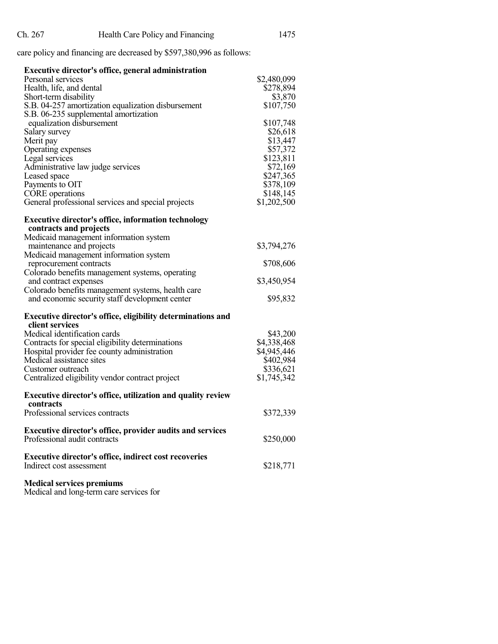care policy and financing are decreased by \$597,380,996 as follows:

| Executive director's office, general administration                |             |  |  |
|--------------------------------------------------------------------|-------------|--|--|
| Personal services                                                  | \$2,480,099 |  |  |
| Health, life, and dental                                           | \$278,894   |  |  |
| Short-term disability                                              | \$3,870     |  |  |
| S.B. 04-257 amortization equalization disbursement                 | \$107,750   |  |  |
| S.B. 06-235 supplemental amortization                              |             |  |  |
| equalization disbursement                                          | \$107,748   |  |  |
| Salary survey                                                      | \$26,618    |  |  |
| Merit pay                                                          | \$13,447    |  |  |
| Operating expenses                                                 | \$57,372    |  |  |
| Legal services                                                     | \$123,811   |  |  |
| Administrative law judge services                                  | \$72,169    |  |  |
| Leased space                                                       | \$247,365   |  |  |
| Payments to OIT                                                    | \$378,109   |  |  |
| CORE operations                                                    | \$148,145   |  |  |
| General professional services and special projects                 | \$1,202,500 |  |  |
|                                                                    |             |  |  |
| <b>Executive director's office, information technology</b>         |             |  |  |
| contracts and projects                                             |             |  |  |
| Medicaid management information system                             |             |  |  |
| maintenance and projects<br>Medicaid management information system | \$3,794,276 |  |  |
| reprocurement contracts                                            | \$708,606   |  |  |
| Colorado benefits management systems, operating                    |             |  |  |
| and contract expenses                                              | \$3,450,954 |  |  |
| Colorado benefits management systems, health care                  |             |  |  |
| and economic security staff development center                     | \$95,832    |  |  |
|                                                                    |             |  |  |
| Executive director's office, eligibility determinations and        |             |  |  |
| client services                                                    |             |  |  |
| Medical identification cards                                       | \$43,200    |  |  |
| Contracts for special eligibility determinations                   | \$4,338,468 |  |  |
| Hospital provider fee county administration                        | \$4,945,446 |  |  |
| Medical assistance sites                                           | \$402,984   |  |  |
| Customer outreach                                                  | \$336,621   |  |  |
| Centralized eligibility vendor contract project                    | \$1,745,342 |  |  |
|                                                                    |             |  |  |
| Executive director's office, utilization and quality review        |             |  |  |
| contracts                                                          |             |  |  |
| Professional services contracts                                    | \$372,339   |  |  |
| <b>Executive director's office, provider audits and services</b>   |             |  |  |
| Professional audit contracts                                       | \$250,000   |  |  |
|                                                                    |             |  |  |
| <b>Executive director's office, indirect cost recoveries</b>       |             |  |  |
| Indirect cost assessment                                           | \$218,771   |  |  |
|                                                                    |             |  |  |
| <b>Medical services premiums</b>                                   |             |  |  |

Medical and long-term care services for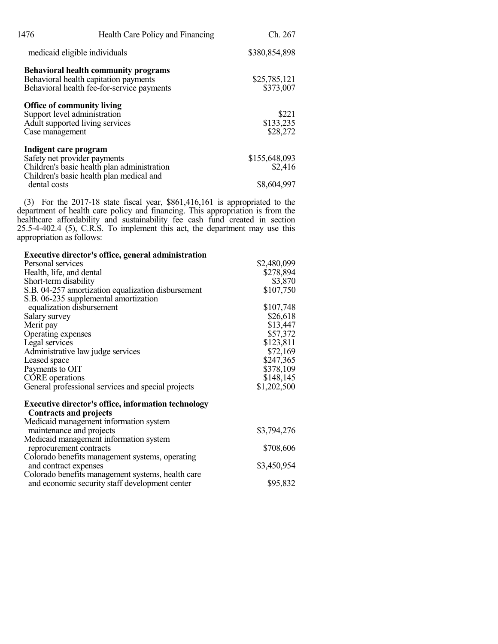| 1476                                                                                                                    | Health Care Policy and Financing                                                                                                   | Ch. 267                        |
|-------------------------------------------------------------------------------------------------------------------------|------------------------------------------------------------------------------------------------------------------------------------|--------------------------------|
| medicaid eligible individuals                                                                                           |                                                                                                                                    | \$380,854,898                  |
|                                                                                                                         | <b>Behavioral health community programs</b><br>Behavioral health capitation payments<br>Behavioral health fee-for-service payments | \$25,785,121<br>\$373,007      |
| <b>Office of community living</b><br>Support level administration<br>Adult supported living services<br>Case management |                                                                                                                                    | \$221<br>\$133,235<br>\$28,272 |
| Indigent care program<br>Safety net provider payments                                                                   | Children's basic health plan administration<br>Children's basic health plan medical and                                            | \$155,648,093<br>\$2,416       |
| dental costs                                                                                                            |                                                                                                                                    | \$8,604,997                    |

(3) For the 2017-18 state fiscal year, \$861,416,161 is appropriated to the department of health care policy and financing. This appropriation is from the healthcare affordability and sustainability fee cash fund created in section 25.5-4-402.4 (5), C.R.S. To implement this act, the department may use this appropriation as follows:

| <b>Executive director's office, general administration</b>                                  |             |
|---------------------------------------------------------------------------------------------|-------------|
| Personal services                                                                           | \$2,480,099 |
| Health, life, and dental                                                                    | \$278,894   |
| Short-term disability                                                                       | \$3,870     |
| S.B. 04-257 amortization equalization disbursement                                          | \$107,750   |
| S.B. 06-235 supplemental amortization                                                       |             |
| equalization disbursement                                                                   | \$107,748   |
| Salary survey                                                                               | \$26,618    |
| Merit pay                                                                                   | \$13,447    |
| Operating expenses                                                                          | \$57,372    |
| Legal services                                                                              | \$123,811   |
| Administrative law judge services                                                           | \$72,169    |
| Leased space                                                                                | \$247,365   |
| Payments to OIT                                                                             | \$378,109   |
| CORE operations                                                                             | \$148,145   |
| General professional services and special projects                                          | \$1,202,500 |
| <b>Executive director's office, information technology</b><br><b>Contracts and projects</b> |             |
| Medicaid management information system                                                      |             |
| maintenance and projects                                                                    | \$3,794,276 |
| Medicaid management information system                                                      |             |
| reprocurement contracts                                                                     | \$708,606   |
| Colorado benefits management systems, operating<br>and contract expenses                    | \$3,450,954 |
| Colorado benefits management systems, health care                                           |             |
| and economic security staff development center                                              | \$95,832    |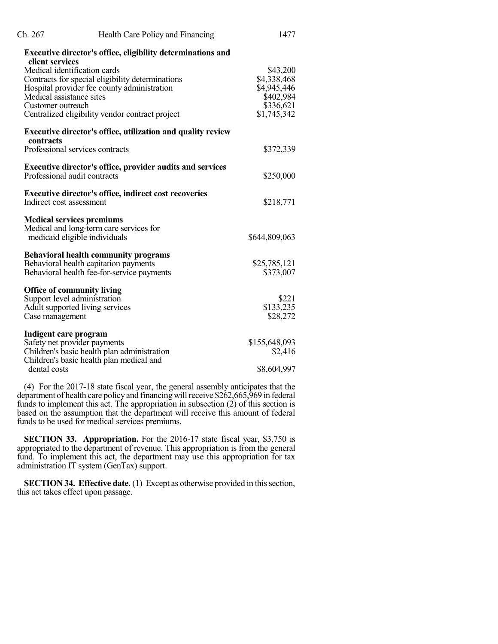| Ch. 267                  | Health Care Policy and Financing                                   | 1477          |
|--------------------------|--------------------------------------------------------------------|---------------|
| client services          | Executive director's office, eligibility determinations and        |               |
|                          | Medical identification cards                                       | \$43,200      |
|                          | Contracts for special eligibility determinations                   | \$4,338,468   |
|                          | Hospital provider fee county administration                        | \$4,945,446   |
| Medical assistance sites |                                                                    | \$402,984     |
| Customer outreach        |                                                                    | \$336,621     |
|                          | Centralized eligibility vendor contract project                    | \$1,745,342   |
| contracts                | <b>Executive director's office, utilization and quality review</b> |               |
|                          | Professional services contracts                                    | \$372,339     |
|                          | <b>Executive director's office, provider audits and services</b>   |               |
|                          | Professional audit contracts                                       | \$250,000     |
|                          | <b>Executive director's office, indirect cost recoveries</b>       |               |
| Indirect cost assessment |                                                                    | \$218,771     |
|                          | <b>Medical services premiums</b>                                   |               |
|                          | Medical and long-term care services for                            |               |
|                          | medicaid eligible individuals                                      | \$644,809,063 |
|                          | <b>Behavioral health community programs</b>                        |               |
|                          | Behavioral health capitation payments                              | \$25,785,121  |
|                          | Behavioral health fee-for-service payments                         | \$373,007     |
|                          | <b>Office of community living</b>                                  |               |
|                          | Support level administration                                       | \$221         |
|                          | Adult supported living services                                    | \$133,235     |
| Case management          |                                                                    | \$28,272      |
| Indigent care program    |                                                                    |               |
|                          | Safety net provider payments                                       | \$155,648,093 |
|                          | Children's basic health plan administration                        | \$2,416       |
| dental costs             | Children's basic health plan medical and                           | \$8,604,997   |
|                          |                                                                    |               |

(4) For the 2017-18 state fiscal year, the general assembly anticipates that the department of health care policy and financing willreceive \$262,665,969 in federal funds to implement this act. The appropriation in subsection (2) of this section is based on the assumption that the department will receive this amount of federal funds to be used for medical services premiums.

**SECTION 33. Appropriation.** For the 2016-17 state fiscal year, \$3,750 is appropriated to the department of revenue. This appropriation is from the general fund. To implement this act, the department may use this appropriation for tax administration IT system (GenTax) support.

**SECTION 34. Effective date.** (1) Except as otherwise provided in this section, this act takes effect upon passage.